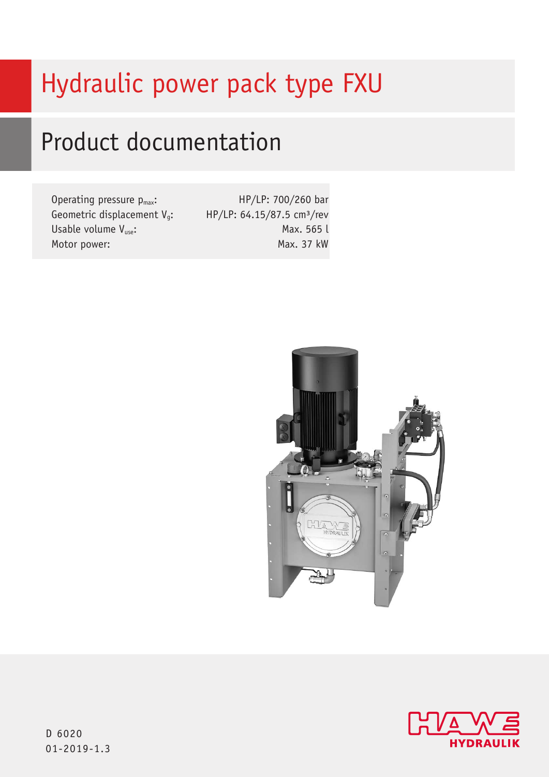# Hydraulic power pack type FXU

# Product documentation

Operating pressure  $p_{max}$ : Geometric displacement  $V_q$ : Usable volume  $V_{use}$ : Motor power:

HP/LP: 700/260 bar HP/LP: 64.15/87.5 cm<sup>3</sup>/rev Max. 565 l Max. 37 kW





D 6020 01-2019-1.3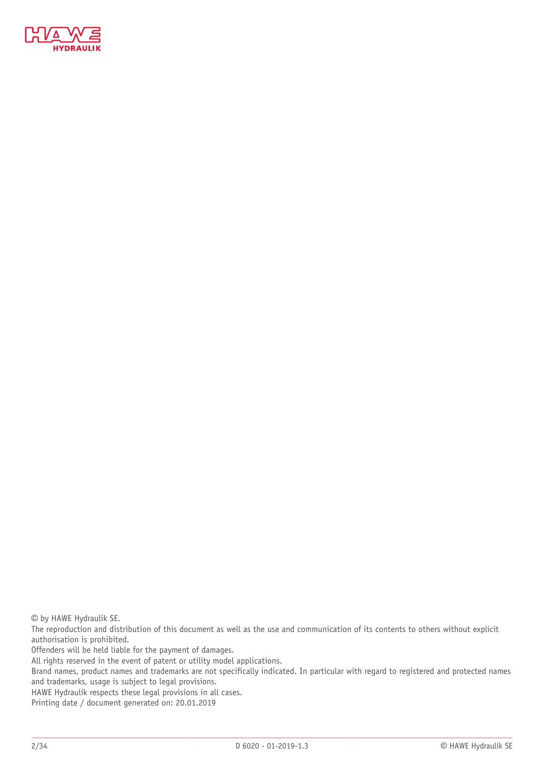

© by HAWE Hydraulik SE.

The reproduction and distribution of this document as well as the use and communication of its contents to others without explicit authorisation is prohibited.

Offenders will be held liable for the payment of damages.

All rights reserved in the event of patent or utility model applications.

Brand names, product names and trademarks are not specifically indicated. In particular with regard to registered and protected names and trademarks, usage is subject to legal provisions.

HAWE Hydraulik respects these legal provisions in all cases.

Printing date / document generated on: 20.01.2019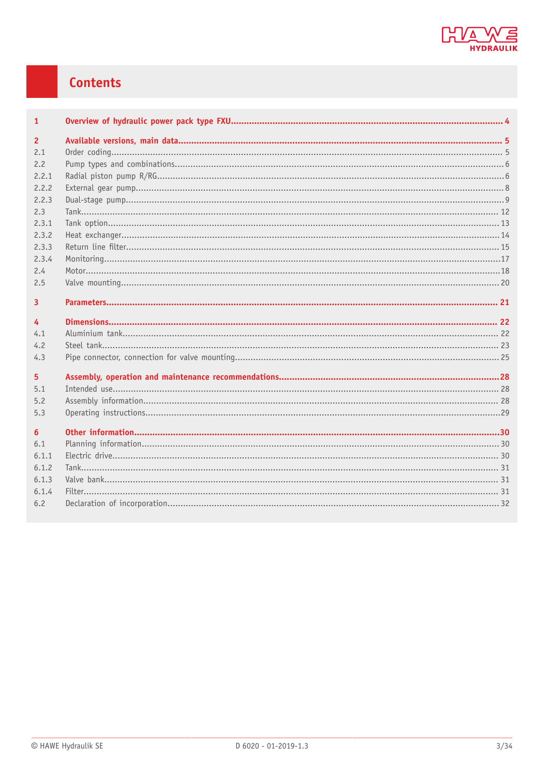

# Contents

| $\mathbf{1}$   |  |
|----------------|--|
| $\overline{2}$ |  |
| 2.1            |  |
| 2.2            |  |
| 2.2.1          |  |
| 2.2.2          |  |
| 2.2.3          |  |
| 2.3            |  |
| 2.3.1          |  |
| 2.3.2          |  |
| 2.3.3          |  |
| 2.3.4          |  |
| 2.4            |  |
| 2.5            |  |
| $\overline{3}$ |  |
|                |  |
| $\overline{4}$ |  |
| 4.1            |  |
| 4.2            |  |
| 4.3            |  |
| 5 <sup>5</sup> |  |
| 5.1            |  |
| 5.2            |  |
| 5.3            |  |
|                |  |
| 6              |  |
| 6.1            |  |
| 6.1.1          |  |
| 6.1.2          |  |
| 6.1.3          |  |
| 6.1.4<br>6.2   |  |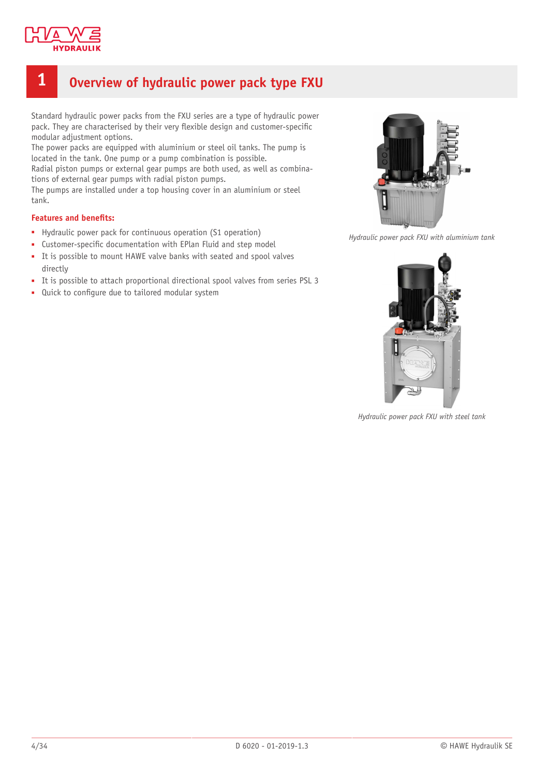

# <span id="page-3-0"></span>**1 Overview of hydraulic power pack type FXU**

Standard hydraulic power packs from the FXU series are a type of hydraulic power pack. They are characterised by their very flexible design and customer-specific modular adjustment options.

The power packs are equipped with aluminium or steel oil tanks. The pump is located in the tank. One pump or a pump combination is possible.

Radial piston pumps or external gear pumps are both used, as well as combinations of external gear pumps with radial piston pumps.

The pumps are installed under a top housing cover in an aluminium or steel tank.

#### **Features and benets:**

- Hydraulic power pack for continuous operation (S1 operation)
- Customer-specific documentation with EPlan Fluid and step model
- It is possible to mount HAWE valve banks with seated and spool valves directly
- It is possible to attach proportional directional spool valves from series PSL 3
- Quick to configure due to tailored modular system



*Hydraulic power pack FXU with aluminium tank*



*Hydraulic power pack FXU with steel tank*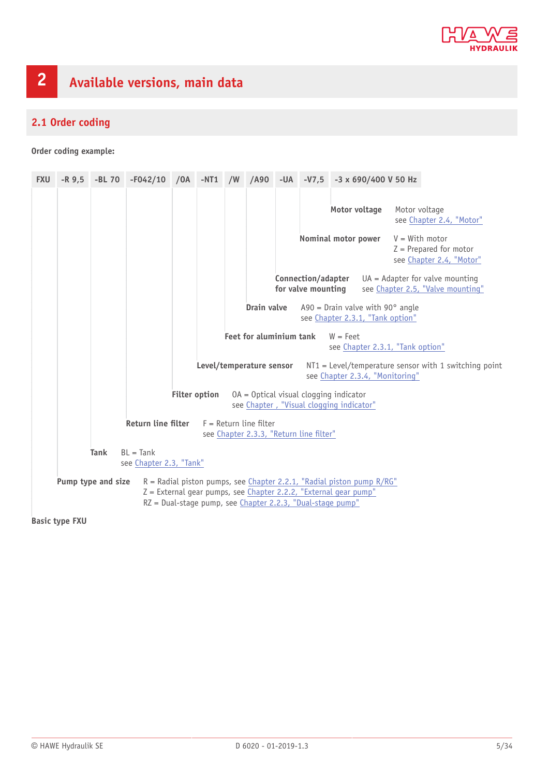

# <span id="page-4-0"></span>**2 Available versions, main data**

## <span id="page-4-1"></span>**2.1 Order coding**

**Order coding example:**

| <b>FXU</b> | $-R$ 9,5 | -BL 70             | -F042/10 /0A -NT1 /W /A90              |                      |                          |                                          | $-UA$ -V7,5 -3 x 690/400 V 50 Hz                                                                                                                                                                             |                  |                                                                        |
|------------|----------|--------------------|----------------------------------------|----------------------|--------------------------|------------------------------------------|--------------------------------------------------------------------------------------------------------------------------------------------------------------------------------------------------------------|------------------|------------------------------------------------------------------------|
|            |          |                    |                                        |                      |                          |                                          | Motor voltage                                                                                                                                                                                                | Motor voltage    | see Chapter 2.4, "Motor"                                               |
|            |          |                    |                                        |                      |                          |                                          | Nominal motor power                                                                                                                                                                                          | $V = With motor$ | $Z =$ Prepared for motor<br>see Chapter 2.4, "Motor"                   |
|            |          |                    |                                        |                      |                          | Connection/adapter<br>for valve mounting |                                                                                                                                                                                                              |                  | $UA =$ Adapter for valve mounting<br>see Chapter 2.5, "Valve mounting" |
|            |          |                    |                                        |                      | Drain valve              |                                          | A90 = Drain valve with 90 $^{\circ}$ angle<br>see Chapter 2.3.1, "Tank option"                                                                                                                               |                  |                                                                        |
|            |          |                    |                                        |                      | Feet for aluminium tank  |                                          | $W =$ Feet<br>see Chapter 2.3.1, "Tank option"                                                                                                                                                               |                  |                                                                        |
|            |          |                    |                                        |                      | Level/temperature sensor |                                          | see Chapter 2.3.4, "Monitoring"                                                                                                                                                                              |                  | $NT1 = Level/temperature sensor with 1 switching point$                |
|            |          |                    |                                        | <b>Filter option</b> |                          |                                          | $OA = Optical$ visual clogging indicator<br>see Chapter, "Visual clogging indicator"                                                                                                                         |                  |                                                                        |
|            |          |                    | <b>Return line filter</b>              |                      | $F = Return$ line filter | see Chapter 2.3.3, "Return line filter"  |                                                                                                                                                                                                              |                  |                                                                        |
|            |          | <b>Tank</b>        | $BL = Tank$<br>see Chapter 2.3, "Tank" |                      |                          |                                          |                                                                                                                                                                                                              |                  |                                                                        |
|            |          | Pump type and size |                                        |                      |                          |                                          | $R$ = Radial piston pumps, see Chapter 2.2.1, "Radial piston pump $R/RG$ "<br>Z = External gear pumps, see Chapter 2.2.2, "External gear pump"<br>RZ = Dual-stage pump, see Chapter 2.2.3, "Dual-stage pump" |                  |                                                                        |

**Basic type FXU**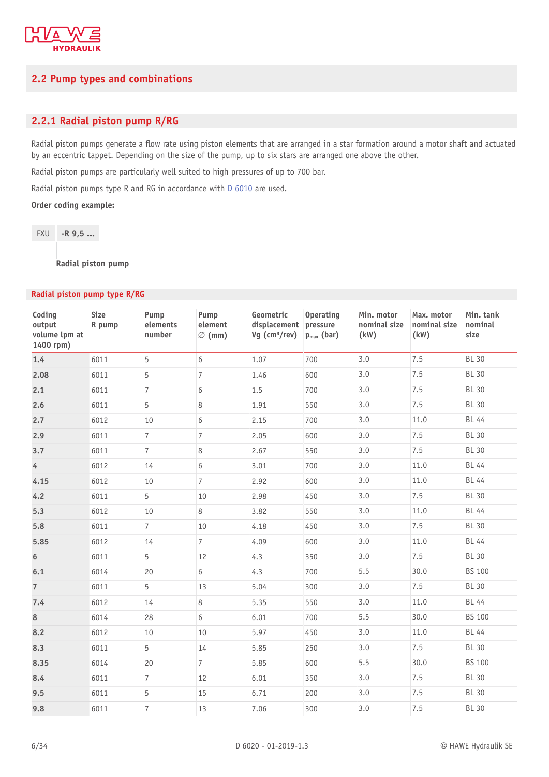

## <span id="page-5-0"></span>**2.2 Pump types and combinations**

## <span id="page-5-1"></span>**2.2.1 Radial piston pump R/RG**

Radial piston pumps generate a flow rate using piston elements that are arranged in a star formation around a motor shaft and actuated by an eccentric tappet. Depending on the size of the pump, up to six stars are arranged one above the other.

Radial piston pumps are particularly well suited to high pressures of up to 700 bar.

Radial piston pumps type R and RG in accordance with [D 6010](http://downloads.hawe.com/6/0/D6010-en.pdf) are used.

#### **Order coding example:**

FXU **-R 9,5 ...**

**Radial piston pump**

#### **Radial piston pump type R/RG**

| Coding<br>output<br>volume lpm at<br>1400 rpm) | <b>Size</b><br>R pump | Pump<br>elements<br>number | Pump<br>element<br>$\varnothing$ (mm) | Geometric<br>displacement<br>$Vg$ (cm <sup>3</sup> /rev) | <b>Operating</b><br>pressure<br>$p_{max}$ (bar) | Min. motor<br>nominal size<br>(kW) | Max. motor<br>nominal size<br>(kW) | Min. tank<br>nominal<br>size |
|------------------------------------------------|-----------------------|----------------------------|---------------------------------------|----------------------------------------------------------|-------------------------------------------------|------------------------------------|------------------------------------|------------------------------|
| 1.4                                            | 6011                  | 5                          | 6                                     | 1.07                                                     | 700                                             | 3.0                                | 7.5                                | <b>BL 30</b>                 |
| 2.08                                           | 6011                  | 5                          | 7                                     | 1.46                                                     | 600                                             | 3.0                                | 7.5                                | <b>BL 30</b>                 |
| 2.1                                            | 6011                  | $\overline{7}$             | 6                                     | 1.5                                                      | 700                                             | 3.0                                | 7.5                                | <b>BL 30</b>                 |
| 2.6                                            | 6011                  | 5                          | 8                                     | 1.91                                                     | 550                                             | 3.0                                | 7.5                                | <b>BL 30</b>                 |
| 2.7                                            | 6012                  | 10                         | 6                                     | 2.15                                                     | 700                                             | 3.0                                | 11.0                               | <b>BL 44</b>                 |
| 2.9                                            | 6011                  | $\overline{7}$             | $\overline{7}$                        | 2.05                                                     | 600                                             | 3.0                                | 7.5                                | <b>BL 30</b>                 |
| 3.7                                            | 6011                  | $\overline{7}$             | 8                                     | 2.67                                                     | 550                                             | 3.0                                | 7.5                                | <b>BL 30</b>                 |
| $4 -$                                          | 6012                  | 14                         | 6                                     | 3.01                                                     | 700                                             | 3.0                                | 11.0                               | <b>BL 44</b>                 |
| 4.15                                           | 6012                  | 10                         | $\overline{7}$                        | 2.92                                                     | 600                                             | 3.0                                | 11.0                               | <b>BL 44</b>                 |
| 4.2                                            | 6011                  | 5                          | 10                                    | 2.98                                                     | 450                                             | 3.0                                | 7.5                                | <b>BL 30</b>                 |
| 5.3                                            | 6012                  | 10                         | 8                                     | 3.82                                                     | 550                                             | 3.0                                | 11.0                               | <b>BL 44</b>                 |
| 5.8                                            | 6011                  | $7\overline{ }$            | 10                                    | 4.18                                                     | 450                                             | 3.0                                | 7.5                                | <b>BL 30</b>                 |
| 5.85                                           | 6012                  | 14                         | $\overline{7}$                        | 4.09                                                     | 600                                             | 3.0                                | 11.0                               | <b>BL 44</b>                 |
| 6                                              | 6011                  | 5                          | 12                                    | 4.3                                                      | 350                                             | 3.0                                | 7.5                                | <b>BL 30</b>                 |
| 6.1                                            | 6014                  | 20                         | 6                                     | 4.3                                                      | 700                                             | 5.5                                | 30.0                               | <b>BS 100</b>                |
| $7\overline{ }$                                | 6011                  | 5                          | 13                                    | 5.04                                                     | 300                                             | 3.0                                | 7.5                                | <b>BL 30</b>                 |
| 7.4                                            | 6012                  | 14                         | $\,8\,$                               | 5.35                                                     | 550                                             | 3.0                                | 11.0                               | <b>BL 44</b>                 |
| $\bf 8$                                        | 6014                  | 28                         | 6                                     | 6.01                                                     | 700                                             | 5.5                                | 30.0                               | <b>BS 100</b>                |
| 8.2                                            | 6012                  | 10                         | 10                                    | 5.97                                                     | 450                                             | 3.0                                | 11.0                               | <b>BL 44</b>                 |
| 8.3                                            | 6011                  | 5                          | 14                                    | 5.85                                                     | 250                                             | 3.0                                | 7.5                                | <b>BL 30</b>                 |
| 8.35                                           | 6014                  | 20                         | $\overline{7}$                        | 5.85                                                     | 600                                             | 5.5                                | 30.0                               | <b>BS 100</b>                |
| 8.4                                            | 6011                  | $\overline{7}$             | 12                                    | 6.01                                                     | 350                                             | 3.0                                | 7.5                                | <b>BL 30</b>                 |
| 9.5                                            | 6011                  | 5                          | 15                                    | 6.71                                                     | 200                                             | 3.0                                | 7.5                                | <b>BL 30</b>                 |
| 9.8                                            | 6011                  | $\overline{7}$             | 13                                    | 7.06                                                     | 300                                             | 3.0                                | 7.5                                | <b>BL 30</b>                 |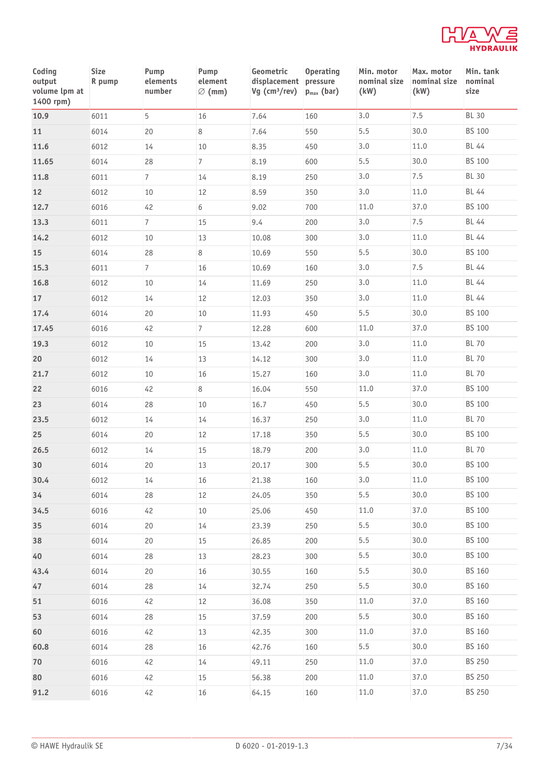

| Coding<br>output<br>volume lpm at<br>1400 rpm) | <b>Size</b><br>R pump | Pump<br>elements<br>number | Pump<br>element<br>$\varnothing$ (mm) | Geometric<br>displacement pressure<br>$Vg$ (cm <sup>3</sup> /rev) | <b>Operating</b><br>$p_{max}$ (bar) | Min. motor<br>nominal size<br>(kW) | Max. motor<br>nominal size<br>(kW) | Min. tank<br>nominal<br>size |
|------------------------------------------------|-----------------------|----------------------------|---------------------------------------|-------------------------------------------------------------------|-------------------------------------|------------------------------------|------------------------------------|------------------------------|
| 10.9                                           | 6011                  | 5                          | 16                                    | 7.64                                                              | 160                                 | 3.0                                | 7.5                                | <b>BL 30</b>                 |
| 11                                             | 6014                  | 20                         | 8                                     | 7.64                                                              | 550                                 | 5.5                                | 30.0                               | BS 100                       |
| 11.6                                           | 6012                  | 14                         | 10                                    | 8.35                                                              | 450                                 | 3.0                                | 11.0                               | BL 44                        |
| 11.65                                          | 6014                  | 28                         | $\overline{7}$                        | 8.19                                                              | 600                                 | 5.5                                | 30.0                               | <b>BS 100</b>                |
| 11.8                                           | 6011                  | $7\overline{ }$            | 14                                    | 8.19                                                              | 250                                 | 3.0                                | 7.5                                | <b>BL 30</b>                 |
| 12                                             | 6012                  | 10                         | 12                                    | 8.59                                                              | 350                                 | 3.0                                | 11.0                               | BL 44                        |
| 12.7                                           | 6016                  | 42                         | 6                                     | 9.02                                                              | 700                                 | 11.0                               | 37.0                               | BS 100                       |
| 13.3                                           | 6011                  | $7\overline{ }$            | 15                                    | 9.4                                                               | 200                                 | 3.0                                | 7.5                                | BL 44                        |
| 14.2                                           | 6012                  | 10                         | 13                                    | 10.08                                                             | 300                                 | 3.0                                | 11.0                               | <b>BL 44</b>                 |
| 15                                             | 6014                  | 28                         | 8                                     | 10.69                                                             | 550                                 | 5.5                                | 30.0                               | BS 100                       |
| 15.3                                           | 6011                  | $7\overline{ }$            | 16                                    | 10.69                                                             | 160                                 | 3.0                                | 7.5                                | <b>BL 44</b>                 |
| 16.8                                           | 6012                  | 10                         | 14                                    | 11.69                                                             | 250                                 | 3.0                                | 11.0                               | <b>BL 44</b>                 |
| 17                                             | 6012                  | 14                         | 12                                    | 12.03                                                             | 350                                 | 3.0                                | 11.0                               | <b>BL 44</b>                 |
| 17.4                                           | 6014                  | 20                         | 10                                    | 11.93                                                             | 450                                 | 5.5                                | 30.0                               | BS 100                       |
| 17.45                                          | 6016                  | 42                         | $\overline{7}$                        | 12.28                                                             | 600                                 | 11.0                               | 37.0                               | BS 100                       |
| 19.3                                           | 6012                  | 10                         | 15                                    | 13.42                                                             | 200                                 | 3.0                                | 11.0                               | <b>BL 70</b>                 |
| 20                                             | 6012                  | 14                         | 13                                    | 14.12                                                             | 300                                 | 3.0                                | 11.0                               | <b>BL 70</b>                 |
| 21.7                                           | 6012                  | 10                         | 16                                    | 15.27                                                             | 160                                 | 3.0                                | 11.0                               | <b>BL 70</b>                 |
| 22                                             | 6016                  | 42                         | 8                                     | 16.04                                                             | 550                                 | 11.0                               | 37.0                               | <b>BS 100</b>                |
| 23                                             | 6014                  | 28                         | 10                                    | 16.7                                                              | 450                                 | 5.5                                | 30.0                               | BS 100                       |
| 23.5                                           | 6012                  | 14                         | 14                                    | 16.37                                                             | 250                                 | 3.0                                | 11.0                               | <b>BL 70</b>                 |
| 25                                             | 6014                  | 20                         | 12                                    | 17.18                                                             | 350                                 | 5.5                                | 30.0                               | BS 100                       |
| 26.5                                           | 6012                  | 14                         | 15                                    | 18.79                                                             | 200                                 | 3.0                                | 11.0                               | <b>BL 70</b>                 |
| 30                                             | 6014                  | 20                         | 13                                    | 20.17                                                             | 300                                 | 5.5                                | 30.0                               | <b>BS 100</b>                |
| 30.4                                           | 6012                  | 14                         | 16                                    | 21.38                                                             | 160                                 | 3.0                                | 11.0                               | BS 100                       |
| 34                                             | 6014                  | 28                         | 12                                    | 24.05                                                             | 350                                 | 5.5                                | 30.0                               | <b>BS 100</b>                |
| 34.5                                           | 6016                  | 42                         | 10                                    | 25.06                                                             | 450                                 | 11.0                               | 37.0                               | <b>BS 100</b>                |
| 35                                             | 6014                  | 20                         | 14                                    | 23.39                                                             | 250                                 | 5.5                                | 30.0                               | <b>BS 100</b>                |
| 38                                             | 6014                  | 20                         | 15                                    | 26.85                                                             | 200                                 | 5.5                                | 30.0                               | BS 100                       |
| 40                                             | 6014                  | 28                         | 13                                    | 28.23                                                             | 300                                 | 5.5                                | 30.0                               | BS 100                       |
| 43.4                                           | 6014                  | 20                         | 16                                    | 30.55                                                             | 160                                 | 5.5                                | 30.0                               | <b>BS 160</b>                |
| 47                                             | 6014                  | 28                         | 14                                    | 32.74                                                             | 250                                 | 5.5                                | 30.0                               | <b>BS 160</b>                |
| 51                                             | 6016                  | 42                         | 12                                    | 36.08                                                             | 350                                 | 11.0                               | 37.0                               | BS 160                       |
| 53                                             | 6014                  | 28                         | 15                                    | 37.59                                                             | 200                                 | 5.5                                | 30.0                               | BS 160                       |
| 60                                             | 6016                  | 42                         | 13                                    | 42.35                                                             | 300                                 | 11.0                               | 37.0                               | BS 160                       |
| 60.8                                           | 6014                  | 28                         | 16                                    | 42.76                                                             | 160                                 | 5.5                                | 30.0                               | BS 160                       |
| 70                                             | 6016                  | 42                         | 14                                    | 49.11                                                             | 250                                 | 11.0                               | 37.0                               | BS 250                       |
| 80                                             | 6016                  | 42                         | 15                                    | 56.38                                                             | 200                                 | 11.0                               | 37.0                               | BS 250                       |
| 91.2                                           | 6016                  | 42                         | 16                                    | 64.15                                                             | 160                                 | 11.0                               | 37.0                               | BS 250                       |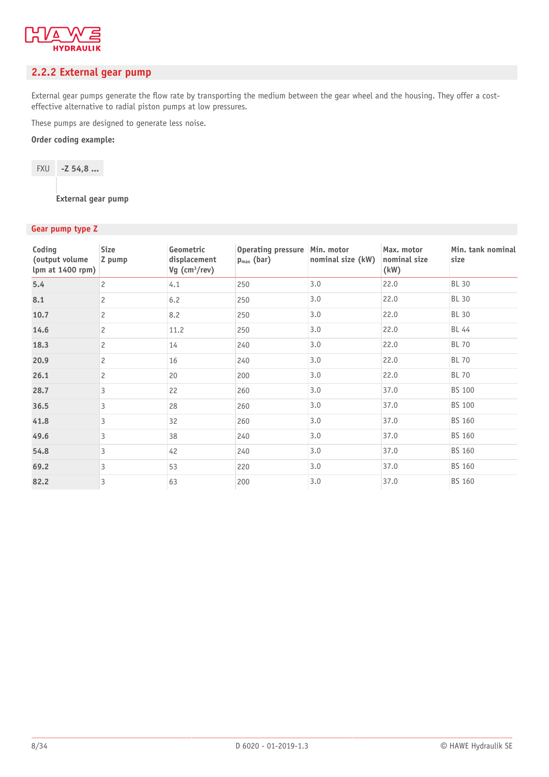

## <span id="page-7-0"></span>**2.2.2 External gear pump**

External gear pumps generate the flow rate by transporting the medium between the gear wheel and the housing. They offer a costeffective alternative to radial piston pumps at low pressures.

These pumps are designed to generate less noise.

#### **Order coding example:**

$$
FXU -Z 54,8 ...
$$

**External gear pump**

#### **Gear pump type Z**

| Coding<br>(output volume<br>lpm at 1400 rpm) | <b>Size</b><br>Z pump | Geometric<br>displacement<br>$Vg$ (cm <sup>3</sup> /rev) | Operating pressure Min. motor<br>$p_{max}$ (bar) | nominal size (kW) | Max. motor<br>nominal size<br>(kW) | Min. tank nominal<br>size |
|----------------------------------------------|-----------------------|----------------------------------------------------------|--------------------------------------------------|-------------------|------------------------------------|---------------------------|
| 5.4                                          | $\overline{c}$        | 4.1                                                      | 250                                              | 3.0               | 22.0                               | <b>BL 30</b>              |
| 8.1                                          | $\overline{c}$        | 6.2                                                      | 250                                              | 3.0               | 22.0                               | <b>BL 30</b>              |
| 10.7                                         | $\overline{c}$        | 8.2                                                      | 250                                              | 3.0               | 22.0                               | <b>BL 30</b>              |
| 14.6                                         | $\overline{c}$        | 11.2                                                     | 250                                              | 3.0               | 22.0                               | BL 44                     |
| 18.3                                         | $\overline{c}$        | 14                                                       | 240                                              | 3.0               | 22.0                               | <b>BL 70</b>              |
| 20.9                                         | $\overline{c}$        | 16                                                       | 240                                              | 3.0               | 22.0                               | <b>BL 70</b>              |
| 26.1                                         | $\overline{c}$        | 20                                                       | 200                                              | 3.0               | 22.0                               | <b>BL 70</b>              |
| 28.7                                         | 3                     | 22                                                       | 260                                              | 3.0               | 37.0                               | BS 100                    |
| 36.5                                         | 3                     | 28                                                       | 260                                              | 3.0               | 37.0                               | BS 100                    |
| 41.8                                         | 3                     | 32                                                       | 260                                              | 3.0               | 37.0                               | BS 160                    |
| 49.6                                         | 3                     | 38                                                       | 240                                              | 3.0               | 37.0                               | BS 160                    |
| 54.8                                         | 3                     | 42                                                       | 240                                              | 3.0               | 37.0                               | BS 160                    |
| 69.2                                         | 3                     | 53                                                       | 220                                              | 3.0               | 37.0                               | BS 160                    |
| 82.2                                         | 3                     | 63                                                       | 200                                              | 3.0               | 37.0                               | BS 160                    |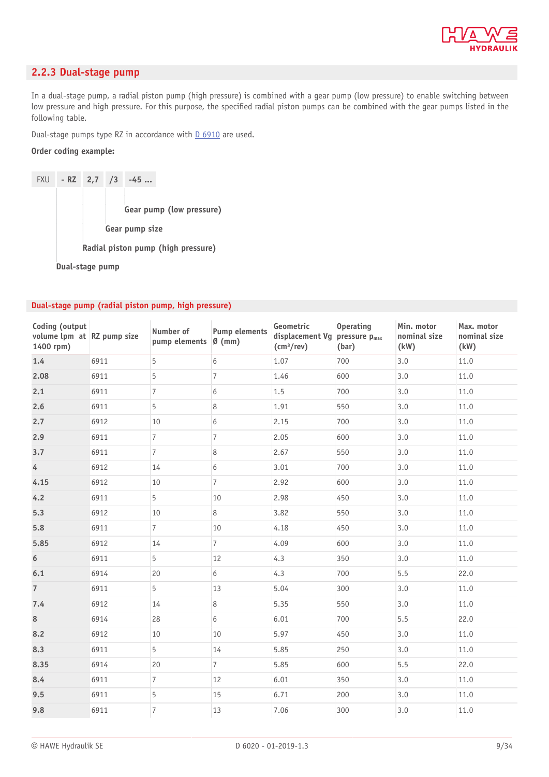

#### <span id="page-8-0"></span>**2.2.3 Dual-stage pump**

In a dual-stage pump, a radial piston pump (high pressure) is combined with a gear pump (low pressure) to enable switching between low pressure and high pressure. For this purpose, the specified radial piston pumps can be combined with the gear pumps listed in the following table.

Dual-stage pumps type RZ in accordance with  $D$  6910 are used.

#### **Order coding example:**

FXU **- RZ 2,7 /3 -45 ... Gear pump (low pressure) Gear pump size Radial piston pump (high pressure) Dual-stage pump**

#### **Dual-stage pump (radial piston pump, high pressure)**

| Coding (output<br>volume lpm at RZ pump size<br>1400 rpm) |      | Number of<br>pump elements | <b>Pump elements</b><br>Ø(mm) | Geometric<br>displacement Vg pressure p <sub>max</sub><br>$\text{(cm}^3\text{/rev)}$ | <b>Operating</b><br>(bar) | Min. motor<br>nominal size<br>(kW) | Max. motor<br>nominal size<br>(kW) |
|-----------------------------------------------------------|------|----------------------------|-------------------------------|--------------------------------------------------------------------------------------|---------------------------|------------------------------------|------------------------------------|
| 1.4                                                       | 6911 | 5                          | 6                             | 1.07                                                                                 | 700                       | 3.0                                | 11.0                               |
| 2.08                                                      | 6911 | 5                          | $\overline{7}$                | 1.46                                                                                 | 600                       | 3.0                                | 11.0                               |
| 2.1                                                       | 6911 | $\overline{7}$             | 6                             | 1.5                                                                                  | 700                       | 3.0                                | 11.0                               |
| 2.6                                                       | 6911 | 5                          | 8                             | 1.91                                                                                 | 550                       | 3.0                                | 11.0                               |
| 2.7                                                       | 6912 | 10                         | 6                             | 2.15                                                                                 | 700                       | 3.0                                | 11.0                               |
| 2.9                                                       | 6911 | $\overline{7}$             | $\overline{7}$                | 2.05                                                                                 | 600                       | 3.0                                | 11.0                               |
| 3.7                                                       | 6911 | 7                          | 8                             | 2.67                                                                                 | 550                       | 3.0                                | 11.0                               |
| $\overline{4}$                                            | 6912 | 14                         | 6                             | 3.01                                                                                 | 700                       | 3.0                                | 11.0                               |
| 4.15                                                      | 6912 | 10                         | $\overline{7}$                | 2.92                                                                                 | 600                       | 3.0                                | 11.0                               |
| 4.2                                                       | 6911 | 5                          | 10                            | 2.98                                                                                 | 450                       | 3.0                                | 11.0                               |
| 5.3                                                       | 6912 | 10                         | 8                             | 3.82                                                                                 | 550                       | 3.0                                | 11.0                               |
| 5.8                                                       | 6911 | $\overline{7}$             | 10                            | 4.18                                                                                 | 450                       | 3.0                                | 11.0                               |
| 5.85                                                      | 6912 | 14                         | $\overline{7}$                | 4.09                                                                                 | 600                       | 3.0                                | 11.0                               |
| 6                                                         | 6911 | 5                          | 12                            | 4.3                                                                                  | 350                       | 3.0                                | 11.0                               |
| 6.1                                                       | 6914 | 20                         | 6                             | 4.3                                                                                  | 700                       | 5.5                                | 22.0                               |
| $\overline{7}$                                            | 6911 | 5                          | 13                            | 5.04                                                                                 | 300                       | 3.0                                | 11.0                               |
| 7.4                                                       | 6912 | 14                         | 8                             | 5.35                                                                                 | 550                       | 3.0                                | 11.0                               |
| 8                                                         | 6914 | 28                         | 6                             | 6.01                                                                                 | 700                       | 5.5                                | 22.0                               |
| 8.2                                                       | 6912 | 10                         | 10                            | 5.97                                                                                 | 450                       | 3.0                                | 11.0                               |
| 8.3                                                       | 6911 | 5                          | 14                            | 5.85                                                                                 | 250                       | 3.0                                | 11.0                               |
| 8.35                                                      | 6914 | 20                         | $\overline{7}$                | 5.85                                                                                 | 600                       | 5.5                                | 22.0                               |
| 8.4                                                       | 6911 | $\overline{7}$             | 12                            | 6.01                                                                                 | 350                       | 3.0                                | 11.0                               |
| 9.5                                                       | 6911 | 5                          | 15                            | 6.71                                                                                 | 200                       | 3.0                                | 11.0                               |
| 9.8                                                       | 6911 | $\overline{7}$             | 13                            | 7.06                                                                                 | 300                       | 3.0                                | 11.0                               |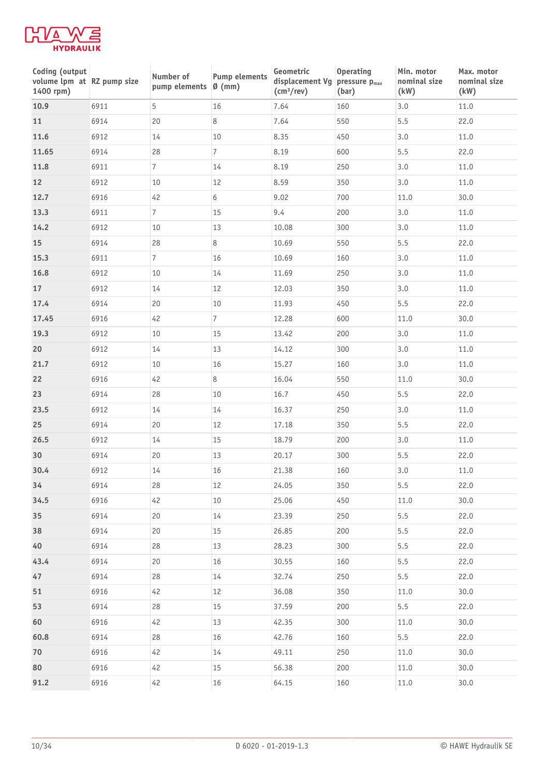

| Coding (output<br>volume lpm at RZ pump size<br>1400 rpm) |      | Number of<br>pump elements | <b>Pump elements</b><br>$\emptyset$ (mm) | Geometric<br>displacement Vg pressure p <sub>max</sub><br>$\text{(cm}^3\text{/rev)}$ | <b>Operating</b><br>(bar) | Min. motor<br>nominal size<br>(kW) | Max. motor<br>nominal size<br>(kW) |
|-----------------------------------------------------------|------|----------------------------|------------------------------------------|--------------------------------------------------------------------------------------|---------------------------|------------------------------------|------------------------------------|
| 10.9                                                      | 6911 | 5                          | 16                                       | 7.64                                                                                 | 160                       | 3.0                                | 11.0                               |
| 11                                                        | 6914 | 20                         | 8                                        | 7.64                                                                                 | 550                       | 5.5                                | 22.0                               |
| 11.6                                                      | 6912 | 14                         | 10                                       | 8.35                                                                                 | 450                       | 3.0                                | 11.0                               |
| 11.65                                                     | 6914 | 28                         | $\overline{7}$                           | 8.19                                                                                 | 600                       | 5.5                                | 22.0                               |
| 11.8                                                      | 6911 | $\overline{7}$             | 14                                       | 8.19                                                                                 | 250                       | 3.0                                | 11.0                               |
| 12                                                        | 6912 | 10                         | 12                                       | 8.59                                                                                 | 350                       | 3.0                                | 11.0                               |
| 12.7                                                      | 6916 | 42                         | 6                                        | 9.02                                                                                 | 700                       | 11.0                               | 30.0                               |
| 13.3                                                      | 6911 | $\overline{7}$             | 15                                       | 9.4                                                                                  | 200                       | 3.0                                | 11.0                               |
| 14.2                                                      | 6912 | 10                         | 13                                       | 10.08                                                                                | 300                       | 3.0                                | 11.0                               |
| 15                                                        | 6914 | 28                         | 8                                        | 10.69                                                                                | 550                       | 5.5                                | 22.0                               |
| 15.3                                                      | 6911 | $\overline{7}$             | 16                                       | 10.69                                                                                | 160                       | 3.0                                | 11.0                               |
| 16.8                                                      | 6912 | 10                         | 14                                       | 11.69                                                                                | 250                       | 3.0                                | 11.0                               |
| 17                                                        | 6912 | 14                         | 12                                       | 12.03                                                                                | 350                       | 3.0                                | 11.0                               |
| 17.4                                                      | 6914 | 20                         | 10                                       | 11.93                                                                                | 450                       | 5.5                                | 22.0                               |
| 17.45                                                     | 6916 | 42                         | $\overline{7}$                           | 12.28                                                                                | 600                       | 11.0                               | 30.0                               |
| 19.3                                                      | 6912 | 10                         | 15                                       | 13.42                                                                                | 200                       | 3.0                                | 11.0                               |
| 20                                                        | 6912 | 14                         | 13                                       | 14.12                                                                                | 300                       | 3.0                                | 11.0                               |
| 21.7                                                      | 6912 | 10                         | 16                                       | 15.27                                                                                | 160                       | 3.0                                | 11.0                               |
| 22                                                        | 6916 | 42                         | 8                                        | 16.04                                                                                | 550                       | 11.0                               | 30.0                               |
| 23                                                        | 6914 | 28                         | 10                                       | 16.7                                                                                 | 450                       | 5.5                                | 22.0                               |
| 23.5                                                      | 6912 | 14                         | 14                                       | 16.37                                                                                | 250                       | 3.0                                | 11.0                               |
| 25                                                        | 6914 | 20                         | 12                                       | 17.18                                                                                | 350                       | 5.5                                | 22.0                               |
| 26.5                                                      | 6912 | 14                         | 15                                       | 18.79                                                                                | 200                       | 3.0                                | 11.0                               |
| 30                                                        | 6914 | 20                         | 13                                       | 20.17                                                                                | 300                       | 5.5                                | 22.0                               |
| 30.4                                                      | 6912 | 14                         | 16                                       | 21.38                                                                                | 160                       | 3.0                                | 11.0                               |
| 34                                                        | 6914 | 28                         | 12                                       | 24.05                                                                                | 350                       | 5.5                                | 22.0                               |
| 34.5                                                      | 6916 | 42                         | 10                                       | 25.06                                                                                | 450                       | 11.0                               | 30.0                               |
| 35                                                        | 6914 | 20                         | 14                                       | 23.39                                                                                | 250                       | 5.5                                | 22.0                               |
| 38                                                        | 6914 | 20                         | 15                                       | 26.85                                                                                | 200                       | 5.5                                | 22.0                               |
| 40                                                        | 6914 | 28                         | 13                                       | 28.23                                                                                | 300                       | 5.5                                | 22.0                               |
| 43.4                                                      | 6914 | 20                         | 16                                       | 30.55                                                                                | 160                       | 5.5                                | 22.0                               |
| 47                                                        | 6914 | 28                         | 14                                       | 32.74                                                                                | 250                       | 5.5                                | 22.0                               |
| 51                                                        | 6916 | 42                         | 12                                       | 36.08                                                                                | 350                       | 11.0                               | 30.0                               |
| 53                                                        | 6914 | 28                         | 15                                       | 37.59                                                                                | 200                       | 5.5                                | 22.0                               |
| 60                                                        | 6916 | 42                         | 13                                       | 42.35                                                                                | 300                       | 11.0                               | 30.0                               |
| 60.8                                                      | 6914 | 28                         | 16                                       | 42.76                                                                                | 160                       | 5.5                                | 22.0                               |
| 70                                                        | 6916 | 42                         | 14                                       | 49.11                                                                                | 250                       | 11.0                               | 30.0                               |
| 80                                                        | 6916 | 42                         | 15                                       | 56.38                                                                                | 200                       | 11.0                               | 30.0                               |
| 91.2                                                      | 6916 | 42                         | 16                                       | 64.15                                                                                | 160                       | 11.0                               | 30.0                               |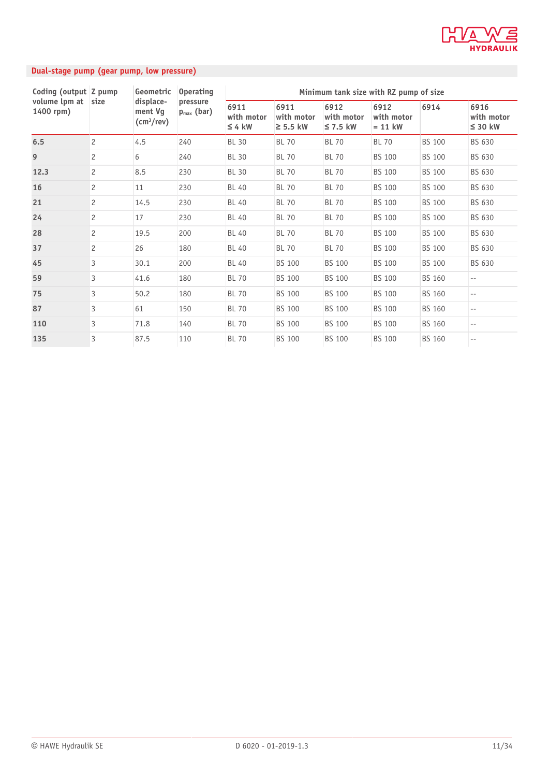

## **Dual-stage pump (gear pump, low pressure)**

| Coding (output Z pump)          |                | Geometric                                          | <b>Operating</b>            | Minimum tank size with RZ pump of size |                                     |                                     |                                 |               |                                    |
|---------------------------------|----------------|----------------------------------------------------|-----------------------------|----------------------------------------|-------------------------------------|-------------------------------------|---------------------------------|---------------|------------------------------------|
| volume lpm at size<br>1400 rpm) |                | displace-<br>ment Vq<br>$\text{(cm}^3\text{/rev)}$ | pressure<br>$p_{max}$ (bar) | 6911<br>with motor<br>$\leq 4$ kW      | 6911<br>with motor<br>$\geq$ 5.5 kW | 6912<br>with motor<br>$\leq$ 7.5 kW | 6912<br>with motor<br>$= 11$ kW | 6914          | 6916<br>with motor<br>$\leq$ 30 kW |
| 6.5                             | $\overline{c}$ | 4.5                                                | 240                         | <b>BL 30</b>                           | <b>BL 70</b>                        | <b>BL 70</b>                        | <b>BL 70</b>                    | <b>BS 100</b> | BS 630                             |
| 9                               | $\overline{c}$ | 6                                                  | 240                         | <b>BL 30</b>                           | <b>BL 70</b>                        | <b>BL 70</b>                        | <b>BS 100</b>                   | BS 100        | BS 630                             |
| 12.3                            | $\overline{c}$ | 8.5                                                | 230                         | <b>BL 30</b>                           | <b>BL 70</b>                        | <b>BL 70</b>                        | <b>BS 100</b>                   | <b>BS 100</b> | BS 630                             |
| 16                              | 2              | 11                                                 | 230                         | <b>BL 40</b>                           | <b>BL 70</b>                        | <b>BL 70</b>                        | <b>BS 100</b>                   | <b>BS 100</b> | BS 630                             |
| 21                              | 2              | 14.5                                               | 230                         | <b>BL 40</b>                           | <b>BL 70</b>                        | <b>BL 70</b>                        | <b>BS 100</b>                   | <b>BS 100</b> | BS 630                             |
| 24                              | $\overline{c}$ | 17                                                 | 230                         | <b>BL 40</b>                           | <b>BL 70</b>                        | <b>BL 70</b>                        | <b>BS 100</b>                   | <b>BS 100</b> | BS 630                             |
| 28                              | $\overline{c}$ | 19.5                                               | 200                         | <b>BL 40</b>                           | <b>BL 70</b>                        | <b>BL 70</b>                        | <b>BS 100</b>                   | <b>BS 100</b> | BS 630                             |
| 37                              | $\overline{c}$ | 26                                                 | 180                         | BL 40                                  | <b>BL 70</b>                        | <b>BL 70</b>                        | <b>BS 100</b>                   | <b>BS 100</b> | BS 630                             |
| 45                              | 3              | 30.1                                               | 200                         | BL 40                                  | <b>BS 100</b>                       | <b>BS 100</b>                       | <b>BS 100</b>                   | <b>BS 100</b> | BS 630                             |
| 59                              | 3              | 41.6                                               | 180                         | <b>BL 70</b>                           | <b>BS 100</b>                       | <b>BS 100</b>                       | <b>BS 100</b>                   | BS 160        | $- -$                              |
| 75                              | 3              | 50.2                                               | 180                         | <b>BL 70</b>                           | <b>BS 100</b>                       | <b>BS 100</b>                       | <b>BS 100</b>                   | BS 160        | $- -$                              |
| 87                              | 3              | 61                                                 | 150                         | <b>BL 70</b>                           | <b>BS 100</b>                       | <b>BS 100</b>                       | <b>BS 100</b>                   | BS 160        | $- -$                              |
| 110                             | 3              | 71.8                                               | 140                         | <b>BL 70</b>                           | <b>BS 100</b>                       | <b>BS 100</b>                       | <b>BS 100</b>                   | BS 160        | $- -$                              |
| 135                             | 3              | 87.5                                               | 110                         | <b>BL 70</b>                           | <b>BS 100</b>                       | <b>BS 100</b>                       | <b>BS 100</b>                   | BS 160        | $- -$                              |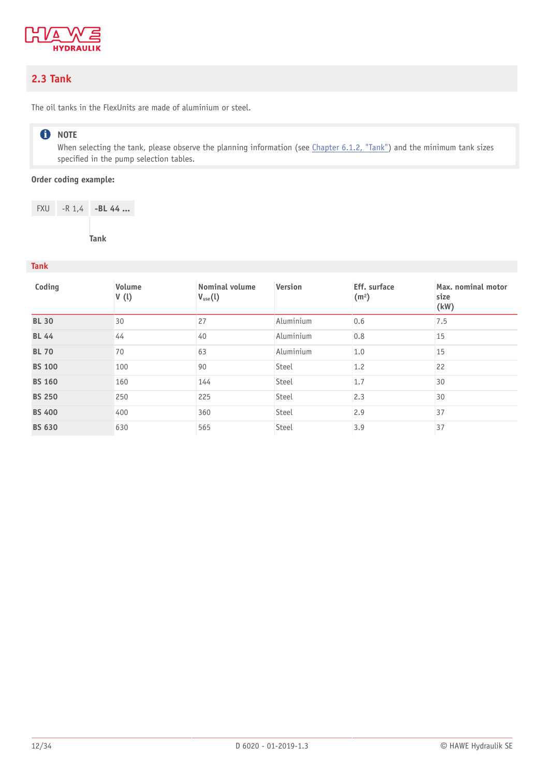

## <span id="page-11-0"></span>**2.3 Tank**

The oil tanks in the FlexUnits are made of aluminium or steel.

## **O** NOTE

When selecting the tank, please observe the planning information (see [Chapter 6.1.2,](#page-30-0) "Tank") and the minimum tank sizes specified in the pump selection tables.

#### **Order coding example:**

FXU -R 1,4 **-BL 44 ...**

**Tank**

#### **Tank**

| Coding        | Volume<br>V(1) | Nominal volume<br>$V_{use}(l)$ | Version   | Eff. surface<br>(m <sup>2</sup> ) | Max. nominal motor<br>size<br>(kW) |
|---------------|----------------|--------------------------------|-----------|-----------------------------------|------------------------------------|
| <b>BL 30</b>  | 30             | 27                             | Aluminium | 0.6                               | 7.5                                |
| <b>BL 44</b>  | 44             | 40                             | Aluminium | 0.8                               | 15                                 |
| <b>BL 70</b>  | 70             | 63                             | Aluminium | 1.0                               | 15                                 |
| <b>BS 100</b> | 100            | 90                             | Steel     | 1.2                               | 22                                 |
| <b>BS 160</b> | 160            | 144                            | Steel     | 1.7                               | 30                                 |
| <b>BS 250</b> | 250            | 225                            | Steel     | 2.3                               | 30                                 |
| <b>BS 400</b> | 400            | 360                            | Steel     | 2.9                               | 37                                 |
| <b>BS 630</b> | 630            | 565                            | Steel     | 3.9                               | 37                                 |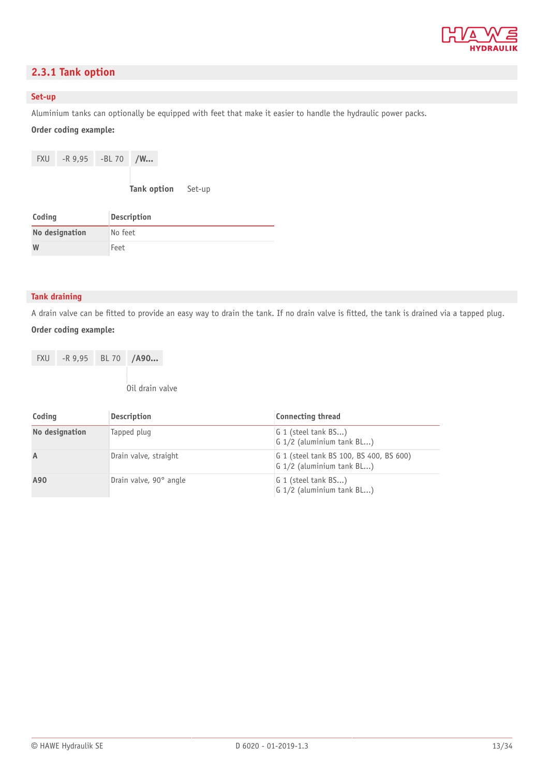

## <span id="page-12-0"></span>**2.3.1 Tank option**

#### **Set-up**

Aluminium tanks can optionally be equipped with feet that make it easier to handle the hydraulic power packs.

#### **Order coding example:**

|            |                     | <b>Tank option</b> Set-up |  |
|------------|---------------------|---------------------------|--|
| <b>FXU</b> | $-R$ 9,95 -BL 70 /W |                           |  |

| Coding         | <b>Description</b> |
|----------------|--------------------|
| No designation | No feet            |
| W              | Feet               |

#### **Tank draining**

A drain valve can be fitted to provide an easy way to drain the tank. If no drain valve is fitted, the tank is drained via a tapped plug. **Order coding example:**

|                 | FXU - R 9,95 BL 70 / A90 |  |
|-----------------|--------------------------|--|
|                 |                          |  |
| Oil drain valve |                          |  |

| Coding         | <b>Description</b>     | <b>Connecting thread</b>                                               |
|----------------|------------------------|------------------------------------------------------------------------|
| No designation | Tapped plug            | G 1 (steel tank BS)<br>$G$ 1/2 (aluminium tank BL)                     |
| $\overline{A}$ | Drain valve, straight  | G 1 (steel tank BS 100, BS 400, BS 600)<br>$G$ 1/2 (aluminium tank BL) |
| A90            | Drain valve, 90° angle | G 1 (steel tank BS)<br>$G$ 1/2 (aluminium tank BL)                     |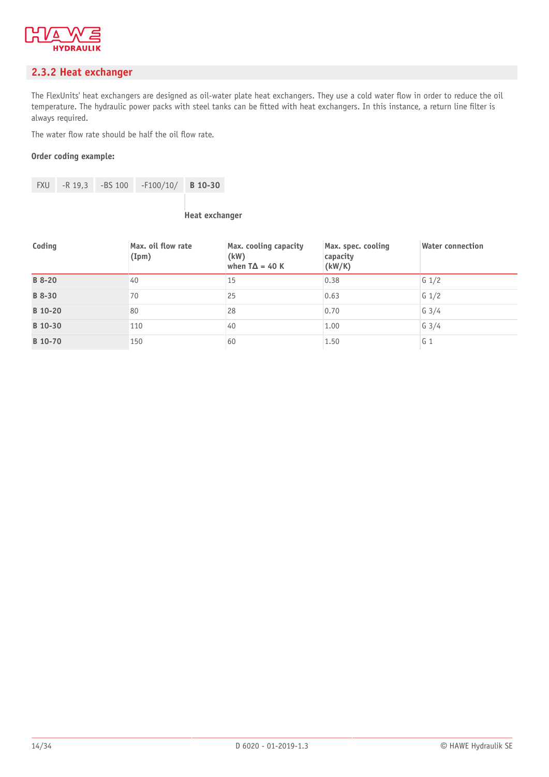

## <span id="page-13-0"></span>**2.3.2 Heat exchanger**

The FlexUnits' heat exchangers are designed as oil-water plate heat exchangers. They use a cold water flow in order to reduce the oil temperature. The hydraulic power packs with steel tanks can be fitted with heat exchangers. In this instance, a return line filter is always required.

The water flow rate should be half the oil flow rate.

#### **Order coding example:**

| <b>FXU</b> | -R 19,3 | -BS 100 | $-F100/10/$ | B 10-30 |
|------------|---------|---------|-------------|---------|
|            |         |         |             |         |

#### **Heat exchanger**

| Coding        | Max. oil flow rate<br>(Ipm) | Max. cooling capacity<br>(kW)<br>when $T\Delta = 40$ K | Max. spec. cooling<br>capacity<br>(kW/K) | <b>Water connection</b> |
|---------------|-----------------------------|--------------------------------------------------------|------------------------------------------|-------------------------|
| <b>B</b> 8-20 | 40                          | 15                                                     | 0.38                                     | $G_1/2$                 |
| B 8-30        | 70                          | 25                                                     | 0.63                                     | $G \frac{1}{2}$         |
| B 10-20       | 80                          | 28                                                     | 0.70                                     | $G$ 3/4                 |
| B 10-30       | 110                         | 40                                                     | 1.00                                     | $G \frac{3}{4}$         |
| B 10-70       | 150                         | 60                                                     | 1.50                                     | G <sub>1</sub>          |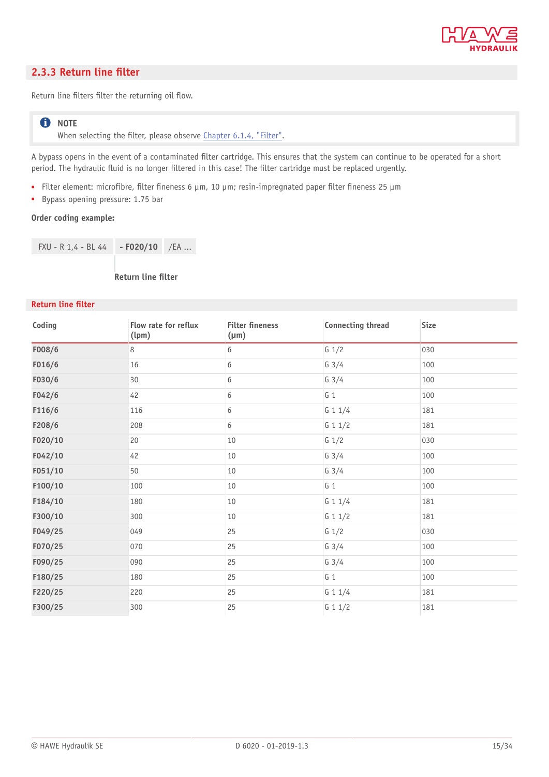

## <span id="page-14-0"></span>**2.3.3 Return line filter**

Return line filters filter the returning oil flow.

#### **O** NOTE

When selecting the filter, please observe [Chapter 6.1.4, "Filter".](#page-30-2)

A bypass opens in the event of a contaminated filter cartridge. This ensures that the system can continue to be operated for a short period. The hydraulic fluid is no longer filtered in this case! The filter cartridge must be replaced urgently.

- Filter element: microfibre, filter fineness 6 μm, 10 μm; resin-impregnated paper filter fineness 25 μm
- Bypass opening pressure: 1.75 bar

#### **Order coding example:**

FXU - R 1,4 - BL 44 **- F020/10** /EA ...

**Return line filter** 

#### **Return line filter**

| Coding  | Flow rate for reflux<br>(lpm) | <b>Filter fineness</b><br>$(\mu m)$ | <b>Connecting thread</b> | <b>Size</b> |
|---------|-------------------------------|-------------------------------------|--------------------------|-------------|
| F008/6  | 8                             | 6                                   | $G_1/2$                  | 030         |
| F016/6  | 16                            | 6                                   | $G \frac{3}{4}$          | 100         |
| F030/6  | 30                            | 6                                   | $G \frac{3}{4}$          | 100         |
| F042/6  | 42                            | 6                                   | G <sub>1</sub>           | 100         |
| F116/6  | 116                           | 6                                   | G 1 1/4                  | 181         |
| F208/6  | 208                           | 6                                   | G 1 1/2                  | 181         |
| F020/10 | 20                            | 10                                  | $G_1/2$                  | 030         |
| F042/10 | 42                            | 10                                  | $G \frac{3}{4}$          | 100         |
| F051/10 | 50                            | 10                                  | $G \frac{3}{4}$          | 100         |
| F100/10 | 100                           | 10                                  | $G_1$                    | 100         |
| F184/10 | 180                           | 10                                  | G 1 1/4                  | 181         |
| F300/10 | 300                           | 10                                  | G 1 1/2                  | 181         |
| F049/25 | 049                           | 25                                  | $G_1/2$                  | 030         |
| F070/25 | 070                           | 25                                  | $G \frac{3}{4}$          | 100         |
| F090/25 | 090                           | 25                                  | $G \frac{3}{4}$          | 100         |
| F180/25 | 180                           | 25                                  | $G_1$                    | 100         |
| F220/25 | 220                           | 25                                  | G 1 1/4                  | 181         |
| F300/25 | 300                           | 25                                  | G 1 1/2                  | 181         |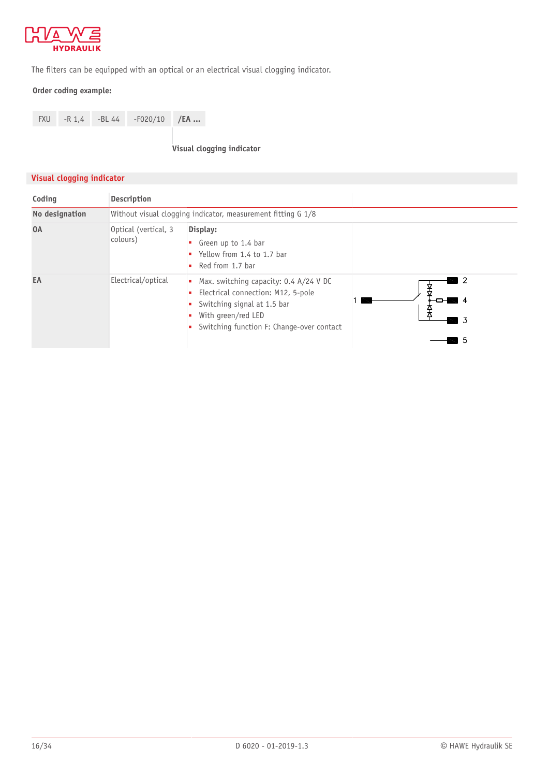

<span id="page-15-0"></span>The filters can be equipped with an optical or an electrical visual clogging indicator.

#### **Order coding example:**

| <b>FXU</b> |  | $-R$ 1,4 $-BL$ 44 $-F020/10$ /EA |  |
|------------|--|----------------------------------|--|
|            |  |                                  |  |

**Visual clogging indicator**

#### **Visual clogging indicator Coding Description No designation** Without visual clogging indicator, measurement fitting G 1/8 **OA** Optical (vertical, 3 **Display:** colours) ■ Green up to 1.4 bar ■ Yellow from 1.4 to 1.7 bar ■ Red from 1.7 bar **EA** Electrical/optical **■** Max. switching capacity: 0.4 A/24 V DC  $\blacksquare$  2 र<br>ई ■ Electrical connection: M12, 5-pole  $\blacksquare$ ■ Switching signal at 1.5 bar 춫 ■ With green/red LED  $\overline{\mathbf{3}}$ ■ Switching function F: Change-over contact  $\blacksquare$  5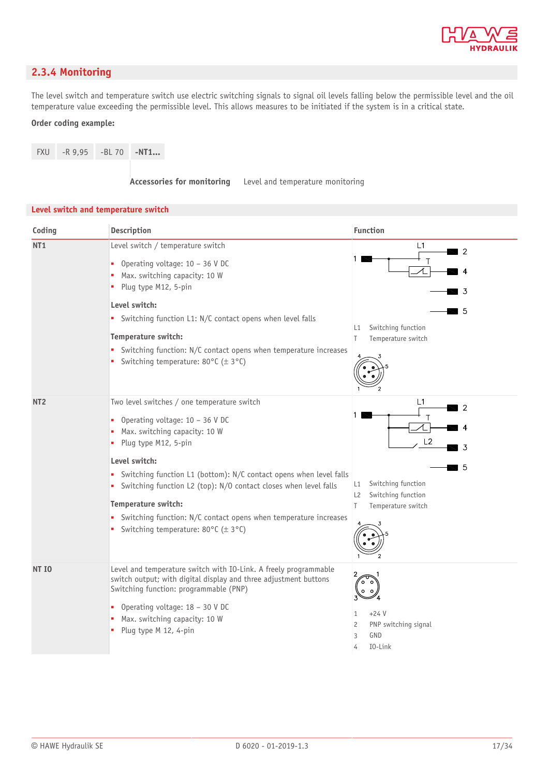

## <span id="page-16-0"></span>**2.3.4 Monitoring**

The level switch and temperature switch use electric switching signals to signal oil levels falling below the permissible level and the oil temperature value exceeding the permissible level. This allows measures to be initiated if the system is in a critical state.

#### **Order coding example:**

| FXU -R 9,95 -BL 70 -NT1 |  |
|-------------------------|--|
|                         |  |

**Accessories for monitoring** Level and temperature monitoring

#### **Level switch and temperature switch**

| Coding          | Description                                                                                                                                                                                                                                                                                                                                                                                                                                                     | <b>Function</b>                                                                                                                  |
|-----------------|-----------------------------------------------------------------------------------------------------------------------------------------------------------------------------------------------------------------------------------------------------------------------------------------------------------------------------------------------------------------------------------------------------------------------------------------------------------------|----------------------------------------------------------------------------------------------------------------------------------|
| <b>NT1</b>      | Level switch / temperature switch<br>Operating voltage: 10 - 36 V DC<br>٠<br>Max. switching capacity: 10 W<br>Plug type M12, 5-pin<br>Level switch:<br>• Switching function L1: N/C contact opens when level falls<br>Temperature switch:<br>Switching function: N/C contact opens when temperature increases<br>Switching temperature: 80 $\degree$ C ( $\pm$ 3 $\degree$ C)<br>٠                                                                              | L1<br>$\blacksquare$ 2<br>4<br>- 3<br>-5<br>Switching function<br>L1<br>Temperature switch<br>T                                  |
| NT <sub>2</sub> | Two level switches / one temperature switch<br>Operating voltage: 10 - 36 V DC<br>Max. switching capacity: 10 W<br>Plug type M12, 5-pin<br>٠<br>Level switch:<br>Switching function L1 (bottom): N/C contact opens when level falls<br>Switching function L2 (top): N/O contact closes when level falls<br>٠<br>Temperature switch:<br>• Switching function: N/C contact opens when temperature increases<br>Switching temperature: $80^{\circ}$ C ( $\pm$ 3°C) | L1<br>$\blacksquare$ 2<br>4<br>L2<br>-3<br>-5<br>Switching function<br>L1<br>Switching function<br>L2<br>Temperature switch<br>T |
| <b>NT IO</b>    | Level and temperature switch with IO-Link. A freely programmable<br>switch output; with digital display and three adjustment buttons<br>Switching function: programmable (PNP)<br>Operating voltage: 18 - 30 V DC<br>Max. switching capacity: 10 W<br>Plug type M 12, 4-pin                                                                                                                                                                                     | $+24V$<br>1<br>$\overline{c}$<br>PNP switching signal<br>3<br>GND<br>I0-Link<br>4                                                |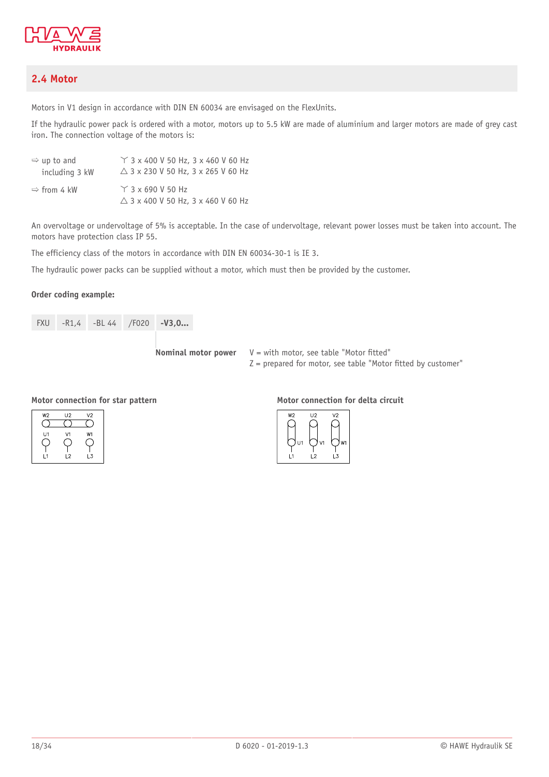

## <span id="page-17-0"></span>**2.4 Motor**

Motors in V1 design in accordance with DIN EN 60034 are envisaged on the FlexUnits.

If the hydraulic power pack is ordered with a motor, motors up to 5.5 kW are made of aluminium and larger motors are made of grey cast iron. The connection voltage of the motors is:

| $\Rightarrow$ up to and | $\Upsilon$ 3 x 400 V 50 Hz, 3 x 460 V 60 Hz                                |
|-------------------------|----------------------------------------------------------------------------|
| including 3 kW          | $\triangle$ 3 x 230 V 50 Hz, 3 x 265 V 60 Hz                               |
| $\Rightarrow$ from 4 kW | $\Upsilon$ 3 x 690 V 50 Hz<br>$\triangle$ 3 x 400 V 50 Hz, 3 x 460 V 60 Hz |

An overvoltage or undervoltage of 5% is acceptable. In the case of undervoltage, relevant power losses must be taken into account. The motors have protection class IP 55.

The efficiency class of the motors in accordance with DIN EN 60034-30-1 is IE 3.

The hydraulic power packs can be supplied without a motor, which must then be provided by the customer.

#### **Order coding example:**

**Nominal motor power**  $V = with motor, see table "Motor fitted"$  $Z =$  prepared for motor, see table "Motor fitted by customer"

#### **Motor connection for star pattern Motor connection for delta circuit**

| W2  | U2         | V2 |
|-----|------------|----|
|     |            |    |
| U1  | V1         | W1 |
|     |            |    |
|     |            |    |
| l 1 | $\sqrt{2}$ | 13 |

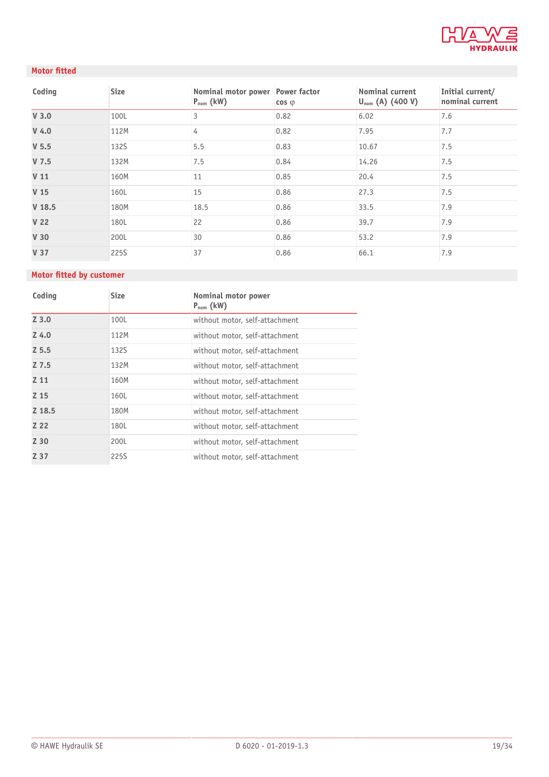

#### **Motor fitted**

| Coding            | <b>Size</b> | Nominal motor power Power factor<br>$P_{nom}$ (kW) | $cos \varphi$ | Nominal current<br>$U_{nom}$ (A) (400 V) | Initial current/<br>nominal current |
|-------------------|-------------|----------------------------------------------------|---------------|------------------------------------------|-------------------------------------|
| V <sub>3.0</sub>  | 100L        | 3                                                  | 0.82          | 6.02                                     | 7.6                                 |
| $V$ 4.0           | 112M        | 4                                                  | 0.82          | 7.95                                     | 7.7                                 |
| V <sub>5.5</sub>  | 132S        | 5.5                                                | 0.83          | 10.67                                    | 7.5                                 |
| V <sub>7.5</sub>  | 132M        | 7.5                                                | 0.84          | 14.26                                    | 7.5                                 |
| V <sub>11</sub>   | 160M        | 11                                                 | 0.85          | 20.4                                     | 7.5                                 |
| V 15              | 160L        | 15                                                 | 0.86          | 27.3                                     | 7.5                                 |
| V <sub>18.5</sub> | 180M        | 18.5                                               | 0.86          | 33.5                                     | 7.9                                 |
| V <sub>22</sub>   | 180L        | 22                                                 | 0.86          | 39.7                                     | 7.9                                 |
| <b>V30</b>        | 200L        | 30                                                 | 0.86          | 53.2                                     | 7.9                                 |
| V 37              | 225S        | 37                                                 | 0.86          | 66.1                                     | 7.9                                 |

## **Motor tted by customer**

| Coding  | <b>Size</b> | Nominal motor power<br>$P_{nom}$ (kW) |
|---------|-------------|---------------------------------------|
| $Z$ 3.0 | 100L        | without motor, self-attachment        |
| $Z$ 4.0 | 112M        | without motor, self-attachment        |
| $Z$ 5.5 | 132S        | without motor, self-attachment        |
| Z7.5    | 132M        | without motor, self-attachment        |
| Z 11    | 160M        | without motor, self-attachment        |
| Z 15    | 160L        | without motor, self-attachment        |
| Z 18.5  | 180M        | without motor, self-attachment        |
| Z 22    | 180L        | without motor, self-attachment        |
| Z 30    | 200L        | without motor, self-attachment        |
| Z 37    | 225S        | without motor, self-attachment        |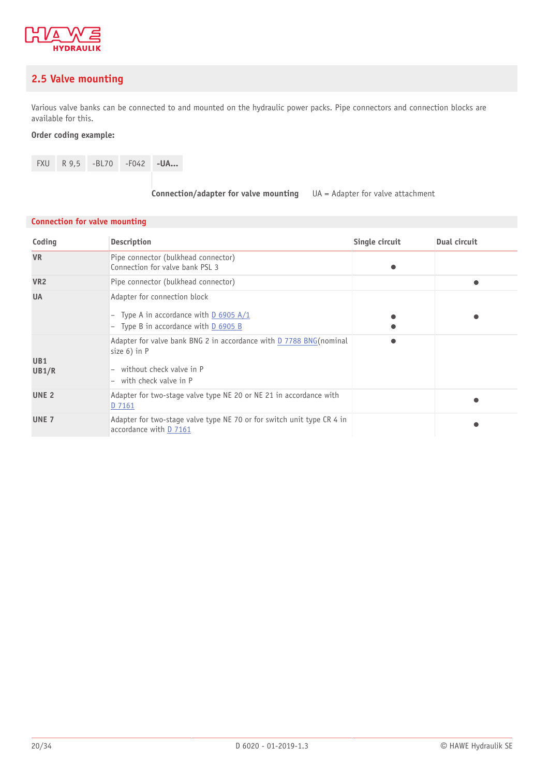

## <span id="page-19-0"></span>**2.5 Valve mounting**

Various valve banks can be connected to and mounted on the hydraulic power packs. Pipe connectors and connection blocks are available for this.

#### **Order coding example:**

|  | FXU R 9,5 -BL70 -F042 -UA |  |
|--|---------------------------|--|
|  |                           |  |

**Connection/adapter for valve mounting** UA = Adapter for valve attachment

#### **Connection for valve mounting**

| Coding                   | Description                                                                                                                                        | Single circuit | Dual circuit |
|--------------------------|----------------------------------------------------------------------------------------------------------------------------------------------------|----------------|--------------|
| <b>VR</b>                | Pipe connector (bulkhead connector)<br>Connection for valve bank PSL 3                                                                             |                |              |
| VR <sub>2</sub>          | Pipe connector (bulkhead connector)                                                                                                                |                | ٠            |
| <b>UA</b>                | Adapter for connection block<br>- Type A in accordance with D 6905 $A/1$<br>Type B in accordance with D 6905 B                                     |                | $\bullet$    |
| UB <sub>1</sub><br>UB1/R | Adapter for valve bank BNG 2 in accordance with D 7788 BNG (nominal<br>size $6)$ in $P$<br>- without check valve in P<br>$-$ with check valve in P |                |              |
| UNE <sub>2</sub>         | Adapter for two-stage valve type NE 20 or NE 21 in accordance with<br>D 7161                                                                       |                |              |
| UNE <sub>7</sub>         | Adapter for two-stage valve type NE 70 or for switch unit type CR 4 in<br>accordance with D 7161                                                   |                |              |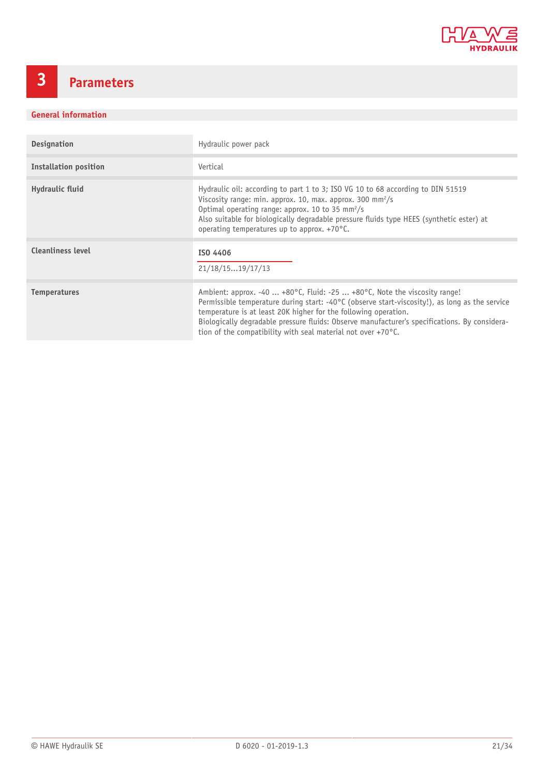

# <span id="page-20-0"></span>**3 Parameters**

#### **General information**

| <b>Designation</b>           | Hydraulic power pack                                                                                                                                                                                                                                                                                                                                                                                                                                      |
|------------------------------|-----------------------------------------------------------------------------------------------------------------------------------------------------------------------------------------------------------------------------------------------------------------------------------------------------------------------------------------------------------------------------------------------------------------------------------------------------------|
| <b>Installation position</b> | Vertical                                                                                                                                                                                                                                                                                                                                                                                                                                                  |
| Hydraulic fluid              | Hydraulic oil: according to part 1 to 3; ISO VG 10 to 68 according to DIN 51519<br>Viscosity range: min. approx. 10, max. approx. 300 mm <sup>2</sup> /s<br>Optimal operating range: approx. 10 to 35 mm <sup>2</sup> /s<br>Also suitable for biologically degradable pressure fluids type HEES (synthetic ester) at<br>operating temperatures up to approx. +70°C.                                                                                       |
| <b>Cleanliness level</b>     | ISO 4406<br>21/18/1519/17/13                                                                                                                                                                                                                                                                                                                                                                                                                              |
| <b>Temperatures</b>          | Ambient: approx. -40  +80 $^{\circ}$ C, Fluid: -25  +80 $^{\circ}$ C, Note the viscosity range!<br>Permissible temperature during start: -40 $\degree$ C (observe start-viscosity!), as long as the service<br>temperature is at least 20K higher for the following operation.<br>Biologically degradable pressure fluids: Observe manufacturer's specifications. By considera-<br>tion of the compatibility with seal material not over $+70^{\circ}$ C. |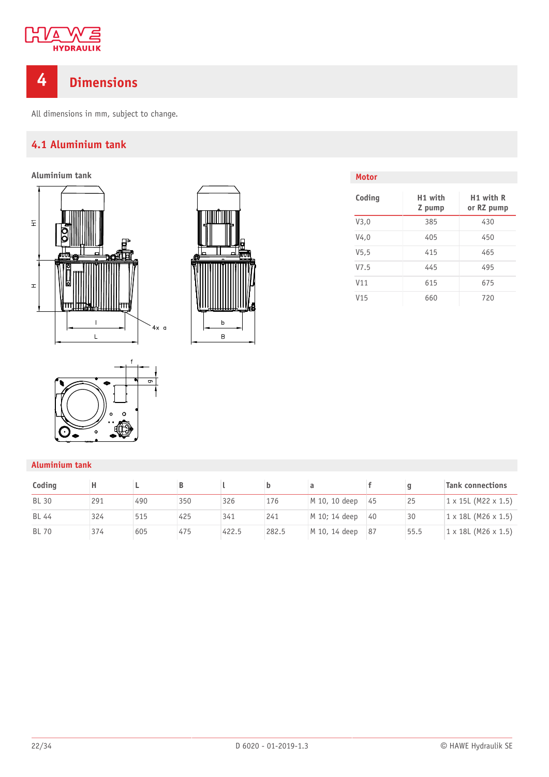

# <span id="page-21-0"></span>**4 Dimensions**

<span id="page-21-1"></span>All dimensions in mm, subject to change.

## **4.1 Aluminium tank**

**Aluminium tank** 





| <b>Motor</b>     |                   |                                     |
|------------------|-------------------|-------------------------------------|
| Coding           | H1 with<br>Z pump | H <sub>1</sub> with R<br>or RZ pump |
| V3,0             | 385               | 430                                 |
| V4.0             | 405               | 450                                 |
| V <sub>5,5</sub> | 415               | 465                                 |
| V7.5             | 445               | 495                                 |
| V <sub>11</sub>  | 615               | 675                                 |
| V15              | 660               | 720                                 |



## **Aluminium tank**

| Coding       |     |     |     |       |       |               |    | q    | <b>Tank connections</b>             |
|--------------|-----|-----|-----|-------|-------|---------------|----|------|-------------------------------------|
| <b>BL 30</b> | 291 | 490 | 350 | 326   | 176   | M 10, 10 deep | 45 | 25   | $1 \times 15$ L (M22 $\times 1.5$ ) |
| <b>BL 44</b> | 324 | 515 | 425 | 341   | 241   | M 10; 14 deep | 40 | 30   | $1 \times 18$ L (M26 $\times$ 1.5)  |
| <b>BL 70</b> | 374 | 605 | 475 | 422.5 | 282.5 | M 10, 14 deep | 87 | 55.5 | $1 \times 18$ L (M26 $\times$ 1.5)  |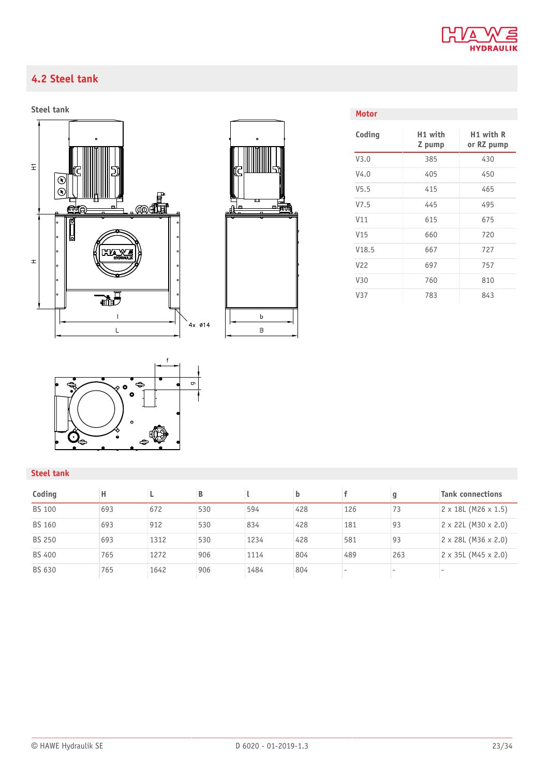

## <span id="page-22-0"></span>**4.2 Steel tank**





| <b>Motor</b>    |                   |                         |
|-----------------|-------------------|-------------------------|
| Coding          | H1 with<br>Z pump | H1 with R<br>or RZ pump |
| V3.0            | 385               | 430                     |
| V4.0            | 405               | 450                     |
| V5.5            | 415               | 465                     |
| V7.5            | 445               | 495                     |
| V11             | 615               | 675                     |
| V15             | 660               | 720                     |
| V18.5           | 667               | 727                     |
| V22             | 697               | 757                     |
| V <sub>30</sub> | 760               | 810                     |
| V <sub>37</sub> | 783               | 843                     |



## **Steel tank**

| Coding        | н   |      | В   |      | b   |     | g   | <b>Tank connections</b>            |
|---------------|-----|------|-----|------|-----|-----|-----|------------------------------------|
| <b>BS 100</b> | 693 | 672  | 530 | 594  | 428 | 126 | 73  | $2 \times 18$ L (M26 $\times$ 1.5) |
| <b>BS 160</b> | 693 | 912  | 530 | 834  | 428 | 181 | 93  | $2 \times 22L$ (M30 $\times 2.0$ ) |
| <b>BS 250</b> | 693 | 1312 | 530 | 1234 | 428 | 581 | 93  | $2 \times 28L$ (M36 $\times 2.0$ ) |
| <b>BS 400</b> | 765 | 1272 | 906 | 1114 | 804 | 489 | 263 | $2 \times 35L$ (M45 $\times 2.0$ ) |
| BS 630        | 765 | 1642 | 906 | 1484 | 804 |     |     |                                    |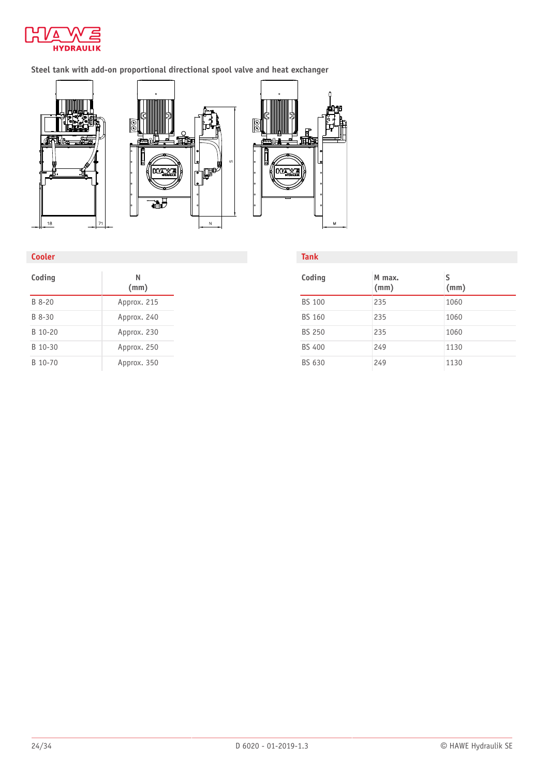

**Steel tank with add-on proportional directional spool valve and heat exchanger**







**Tank**

#### **Cooler**

| Coding   | N<br>(mm)   |
|----------|-------------|
| $B$ 8-20 | Approx. 215 |
| $B$ 8-30 | Approx. 240 |
| B 10-20  | Approx. 230 |
| B 10-30  | Approx. 250 |
| B 10-70  | Approx. 350 |

| Coding        | M max.<br>(mm) | S<br>(mm) |
|---------------|----------------|-----------|
| <b>BS 100</b> | 235            | 1060      |
| <b>BS 160</b> | 235            | 1060      |
| <b>BS 250</b> | 235            | 1060      |
| <b>BS 400</b> | 249            | 1130      |
| BS 630        | 249            | 1130      |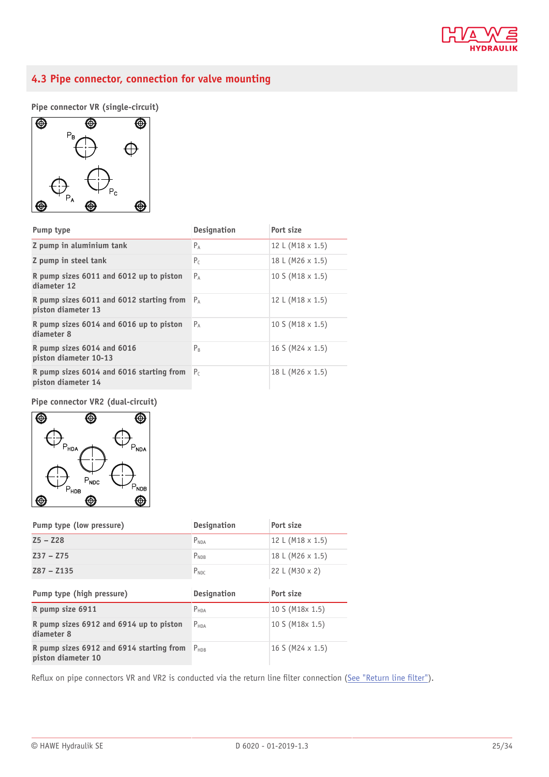

## <span id="page-24-0"></span>**4.3 Pipe connector, connection for valve mounting**



**Pipe connector VR (single-circuit)**

| Pump type                                                      | <b>Designation</b> | Port size                 |
|----------------------------------------------------------------|--------------------|---------------------------|
| Z pump in aluminium tank                                       | $P_A$              | 12 L (M18 x 1.5)          |
| Z pump in steel tank                                           | $P_{C}$            | 18 L (M26 x 1.5)          |
| R pump sizes 6011 and 6012 up to piston<br>diameter 12         | $P_A$              | 10 S (M18 $\times$ 1.5)   |
| R pump sizes 6011 and 6012 starting from<br>piston diameter 13 | $P_{\Delta}$       | 12 L (M18 x 1.5)          |
| R pump sizes 6014 and 6016 up to piston<br>diameter 8          | $P_A$              | $10 S$ (M18 $\times$ 1.5) |
| R pump sizes 6014 and 6016<br>piston diameter 10-13            | $P_R$              | 16 S (M24 $\times$ 1.5)   |
| R pump sizes 6014 and 6016 starting from<br>piston diameter 14 | P <sub>c</sub>     | 18 L (M26 x 1.5)          |

**Pipe connector VR2 (dual-circuit)**



| Pump type (low pressure)                                       | <b>Designation</b> | Port size               |
|----------------------------------------------------------------|--------------------|-------------------------|
| $Z5 - Z28$                                                     | $P_{NDA}$          | 12 L (M18 x 1.5)        |
| $Z37 - Z75$                                                    | $P_{NDR}$          | 18 L (M26 x 1.5)        |
| $Z87 - Z135$                                                   | $P_{NDC}$          | 22 L (M30 x 2)          |
| Pump type (high pressure)                                      | <b>Designation</b> | Port size               |
| R pump size 6911                                               | $P_{HDA}$          | 10 S (M18x 1.5)         |
| R pump sizes 6912 and 6914 up to piston<br>diameter 8          | $P_{HDA}$          | 10 S (M18x 1.5)         |
| R pump sizes 6912 and 6914 starting from<br>piston diameter 10 | $P_{HDR}$          | 16 S (M24 $\times$ 1.5) |

Reflux on pipe connectors VR and VR2 is conducted via the return line filter connection (See ["Return](#page-14-0) line filter").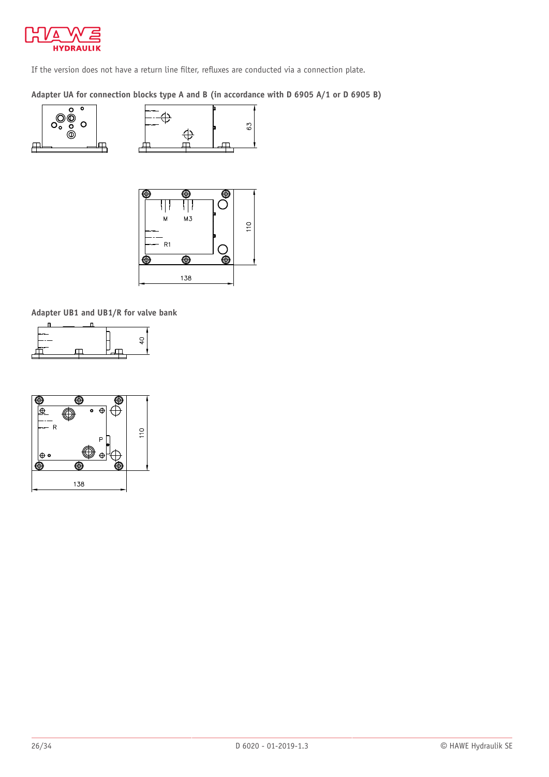

If the version does not have a return line filter, refluxes are conducted via a connection plate.







**Adapter UB1 and UB1/R for valve bank**



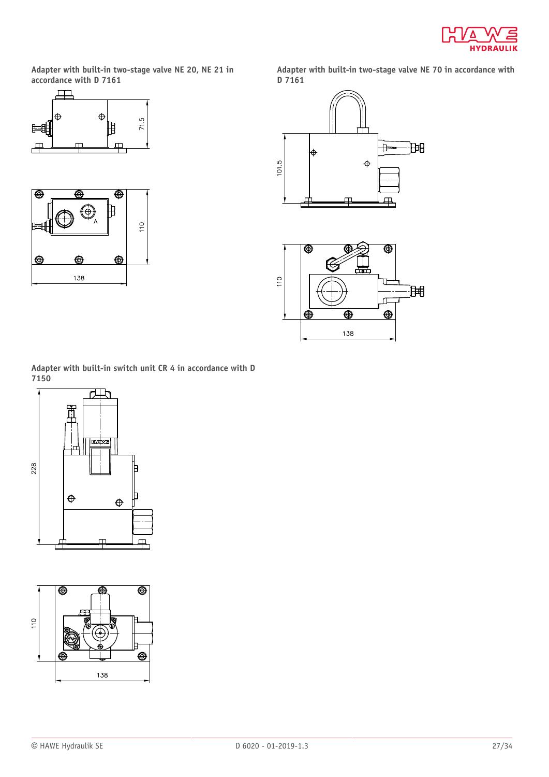

**Adapter with built-in two-stage valve NE 20, NE 21 in accordance with D 7161**



**Adapter with built-in two-stage valve NE 70 in accordance with D 7161**





**Adapter with built-in switch unit CR 4 in accordance with D 7150**



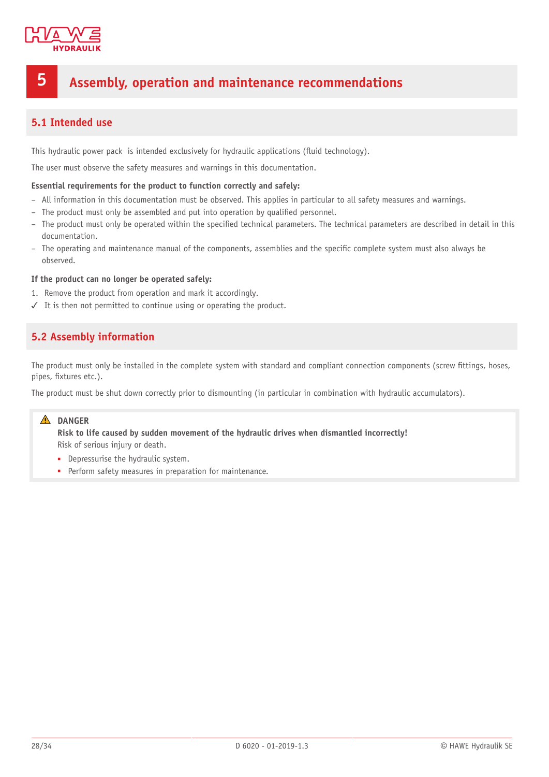

# <span id="page-27-0"></span>**5 Assembly, operation and maintenance recommendations**

## <span id="page-27-1"></span>**5.1 Intended use**

This hydraulic power pack is intended exclusively for hydraulic applications (fluid technology).

The user must observe the safety measures and warnings in this documentation.

#### **Essential requirements for the product to function correctly and safely:**

- All information in this documentation must be observed. This applies in particular to all safety measures and warnings.
- The product must only be assembled and put into operation by qualified personnel.
- The product must only be operated within the specified technical parameters. The technical parameters are described in detail in this documentation.
- The operating and maintenance manual of the components, assemblies and the specific complete system must also always be observed.

#### **If the product can no longer be operated safely:**

- 1. Remove the product from operation and mark it accordingly.
- <span id="page-27-2"></span>✓ It is then not permitted to continue using or operating the product.

## **5.2 Assembly information**

The product must only be installed in the complete system with standard and compliant connection components (screw fittings, hoses, pipes, fixtures etc.).

The product must be shut down correctly prior to dismounting (in particular in combination with hydraulic accumulators).

#### **DANGER**

**Risk to life caused by sudden movement of the hydraulic drives when dismantled incorrectly!** Risk of serious injury or death.

- Depressurise the hydraulic system.
- Perform safety measures in preparation for maintenance.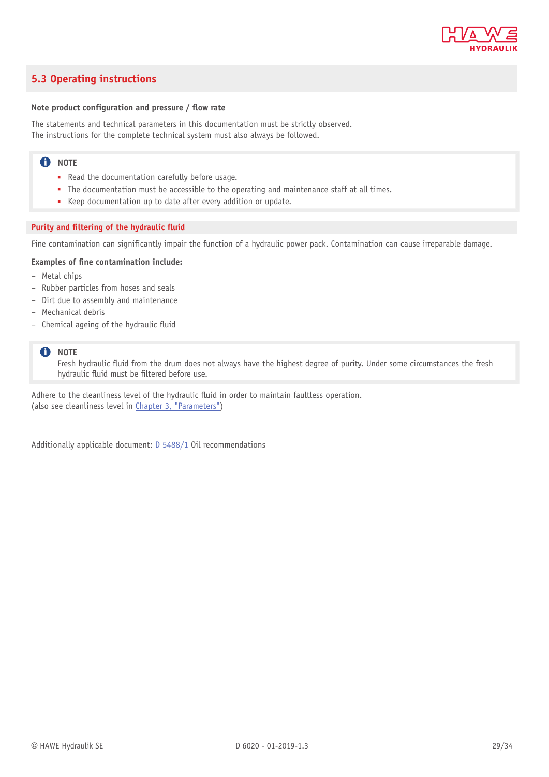

## <span id="page-28-0"></span>**5.3 Operating instructions**

#### **Note product configuration and pressure / ow rate**

The statements and technical parameters in this documentation must be strictly observed. The instructions for the complete technical system must also always be followed.

#### **n** NOTE

- Read the documentation carefully before usage.
- The documentation must be accessible to the operating and maintenance staff at all times.
- Keep documentation up to date after every addition or update.

#### **Purity** and **filtering** of the hydraulic fluid

Fine contamination can significantly impair the function of a hydraulic power pack. Contamination can cause irreparable damage.

#### **Examples of ne contamination include:**

- Metal chips
- Rubber particles from hoses and seals
- Dirt due to assembly and maintenance
- Mechanical debris
- $-$  Chemical ageing of the hydraulic fluid

#### **f** NOTE

Fresh hydraulic fluid from the drum does not always have the highest degree of purity. Under some circumstances the fresh hydraulic fluid must be filtered before use.

Adhere to the cleanliness level of the hydraulic fluid in order to maintain faultless operation. (also see cleanliness level in Chapter 3, ["Parameters"\)](#page-20-0)

Additionally applicable document: [D 5488/1](http://downloads.hawe.com/5/4/D54881-en.pdf) Oil recommendations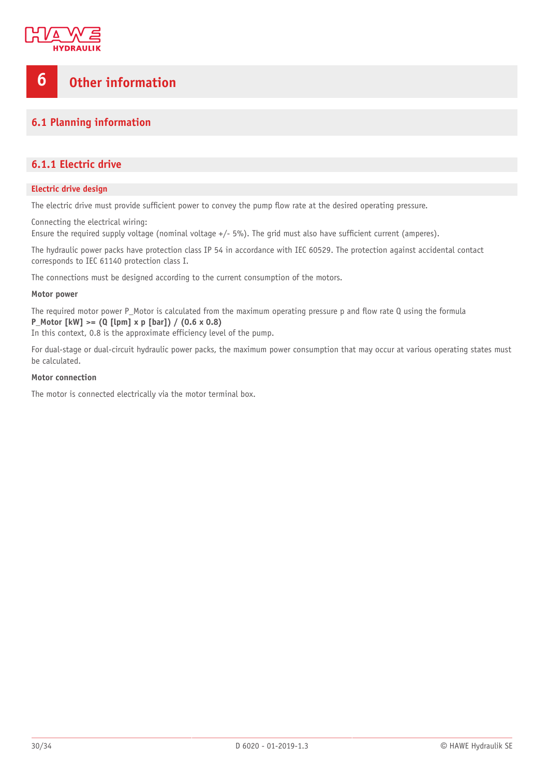

# <span id="page-29-0"></span>**6 Other information**

## <span id="page-29-1"></span>**6.1 Planning information**

## <span id="page-29-2"></span>**6.1.1 Electric drive**

#### **Electric drive design**

The electric drive must provide sufficient power to convey the pump flow rate at the desired operating pressure.

Connecting the electrical wiring:

Ensure the required supply voltage (nominal voltage  $+/-$  5%). The grid must also have sufficient current (amperes).

The hydraulic power packs have protection class IP 54 in accordance with IEC 60529. The protection against accidental contact corresponds to IEC 61140 protection class I.

The connections must be designed according to the current consumption of the motors.

#### **Motor power**

The required motor power P\_Motor is calculated from the maximum operating pressure p and flow rate Q using the formula **P\_Motor [kW] >= (Q [lpm] x p [bar]) / (0.6 x 0.8)**

In this context, 0.8 is the approximate efficiency level of the pump.

For dual-stage or dual-circuit hydraulic power packs, the maximum power consumption that may occur at various operating states must be calculated.

#### **Motor connection**

The motor is connected electrically via the motor terminal box.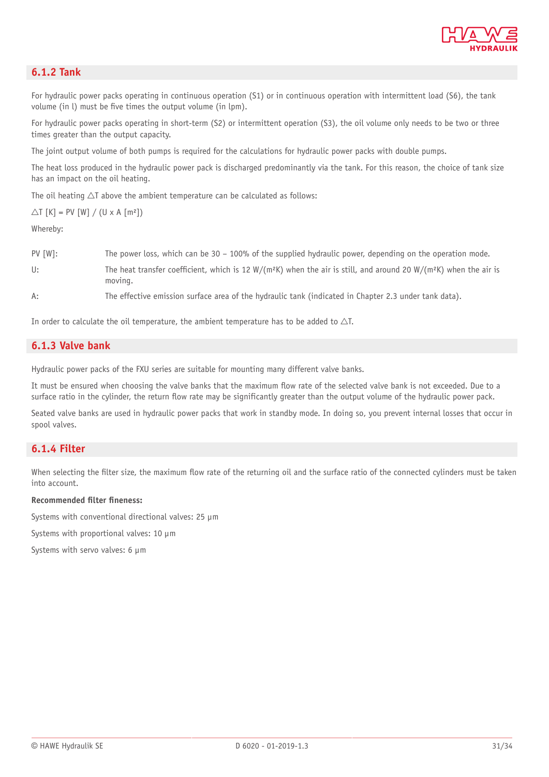

### <span id="page-30-0"></span>**6.1.2 Tank**

For hydraulic power packs operating in continuous operation (S1) or in continuous operation with intermittent load (S6), the tank volume (in l) must be five times the output volume (in lpm).

For hydraulic power packs operating in short-term (S2) or intermittent operation (S3), the oil volume only needs to be two or three times greater than the output capacity.

The joint output volume of both pumps is required for the calculations for hydraulic power packs with double pumps.

The heat loss produced in the hydraulic power pack is discharged predominantly via the tank. For this reason, the choice of tank size has an impact on the oil heating.

The oil heating  $\Delta T$  above the ambient temperature can be calculated as follows:

 $\Delta T$  [K] = PV [W] / (U x A [m<sup>2</sup>])

Whereby:

| PV [W]: | The power loss, which can be $30 - 100\%$ of the supplied hydraulic power, depending on the operation mode.                                          |
|---------|------------------------------------------------------------------------------------------------------------------------------------------------------|
| U:      | The heat transfer coefficient, which is 12 W/(m <sup>2</sup> K) when the air is still, and around 20 W/(m <sup>2</sup> K) when the air is<br>moving. |
| A:      | The effective emission surface area of the hydraulic tank (indicated in Chapter 2.3 under tank data).                                                |

<span id="page-30-1"></span>In order to calculate the oil temperature, the ambient temperature has to be added to  $\triangle$ T.

#### **6.1.3 Valve bank**

Hydraulic power packs of the FXU series are suitable for mounting many different valve banks.

It must be ensured when choosing the valve banks that the maximum flow rate of the selected valve bank is not exceeded. Due to a surface ratio in the cylinder, the return flow rate may be significantly greater than the output volume of the hydraulic power pack.

Seated valve banks are used in hydraulic power packs that work in standby mode. In doing so, you prevent internal losses that occur in spool valves.

#### <span id="page-30-2"></span>**6.1.4 Filter**

When selecting the filter size, the maximum flow rate of the returning oil and the surface ratio of the connected cylinders must be taken into account.

#### **Recommended filter fineness:**

Systems with conventional directional valves: 25 µm

Systems with proportional valves: 10 µm

Systems with servo valves: 6  $\mu$ m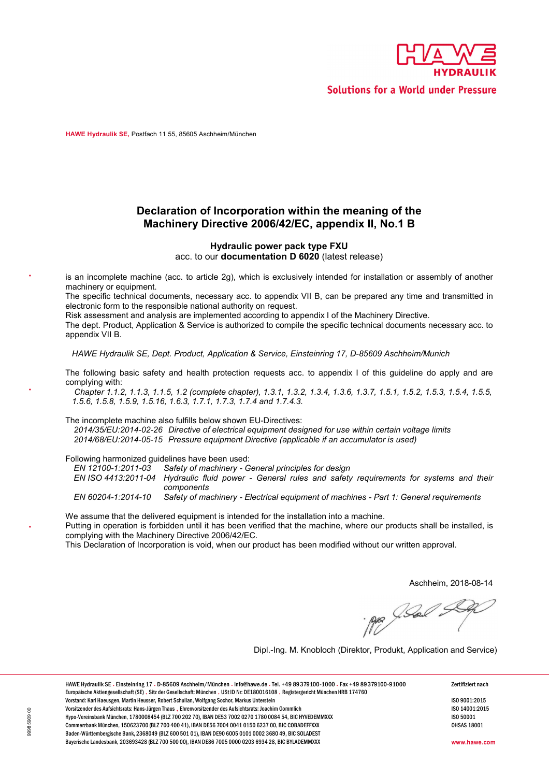

<span id="page-31-0"></span>**HAWE Hydraulik SE,** Postfach 11 55, 85605 Aschheim/München

#### **Declaration of Incorporation within the meaning of the Machinery Directive 2006/42/EC, appendix II, No.1 B**

#### **Hydraulic power pack type FXU**  acc. to our **documentation D 6020** (latest release)

is an incomplete machine (acc. to article 2g), which is exclusively intended for installation or assembly of another machinery or equipment.

The specific technical documents, necessary acc. to appendix VII B, can be prepared any time and transmitted in electronic form to the responsible national authority on request.

Risk assessment and analysis are implemented according to appendix I of the Machinery Directive.

The dept. Product, Application & Service is authorized to compile the specific technical documents necessary acc. to appendix VII B.

 *HAWE Hydraulik SE, Dept. Product, Application & Service, Einsteinring 17, D-85609 Aschheim/Munich* 

The following basic safety and health protection requests acc. to appendix I of this guideline do apply and are complying with:

 *Chapter 1.1.2, 1.1.3, 1.1.5, 1.2 (complete chapter), 1.3.1, 1.3.2, 1.3.4, 1.3.6, 1.3.7, 1.5.1, 1.5.2, 1.5.3, 1.5.4, 1.5.5, 1.5.6, 1.5.8, 1.5.9, 1.5.16, 1.6.3, 1.7.1, 1.7.3, 1.7.4 and 1.7.4.3.* 

The incomplete machine also fulfills below shown EU-Directives:

*2014/35/EU:2014-02-26 Directive of electrical equipment designed for use within certain voltage limit 2014/68/EU:2014-05-15 Pressure equipment Directive (applicable if an accumulator is used)* 

Following harmonized guidelines have been used:<br>EN 12100-1:2011-03 Safety of machinery - G

**Safety of machinery - General principles for design** 

*EN ISO 4413:2011-04 Hydraulic fluid power - General rules and safety requirements for systems and their components* 

*EN 60204-1:2014-10 Safety of machinery - Electrical equipment of machines - Part 1: General requirements*

We assume that the delivered equipment is intended for the installation into a machine.

Putting in operation is forbidden until it has been verified that the machine, where our products shall be installed, is complying with the Machinery Directive 2006/42/EC.

This Declaration of Incorporation is void, when our product has been modified without our written approval.

Aschheim, 2018-08-14

PB Seal

Dipl.-Ing. M. Knobloch (Direktor, Produkt, Application and Service)

| HAWE Hydraulik SE - Einsteinring 17 - D-85609 Aschheim/München - info@hawe.de - Tel. +49 89379100-1000 - Fax +49 89379100-91000 | Zertifiziert nach  |
|---------------------------------------------------------------------------------------------------------------------------------|--------------------|
| Europäische Aktiengesellschaft (SE). Sitz der Gesellschaft: München. USt ID Nr. DE180016108. Registergericht München HRB 174760 |                    |
| Vorstand: Karl Haeusgen, Martin Heusser, Robert Schullan, Wolfgang Sochor, Markus Unterstein                                    | ISO 9001:2015      |
| Vorsitzender des Aufsichtsrats: Hans-Jürgen Thaus "Ehrenvorsitzender des Aufsichtsrats: Joachim Gommlich                        | ISO 14001:2015     |
| Hypo-Vereinsbank München, 1780008454 (BLZ 700 202 70), IBAN DE53 7002 0270 1780 0084 54, BIC HYVEDEMMXXX                        | ISO 50001          |
| Commerzbank München, 150623700 (BLZ 700 400 41), IBAN DE56 7004 0041 0150 6237 00, BIC COBADEFFXXX                              | <b>OHSAS 18001</b> |
| Baden-Württembergische Bank, 2368049 (BLZ 600 501 01), IBAN DE90 6005 0101 0002 3680 49, BIC SOLADEST                           |                    |
| Baverische Landesbank, 203693428 (BLZ 700 500 00), IBAN DE86 7005 0000 0203 6934 28, BIC BYLADEMMXXX                            | www.hawe.com       |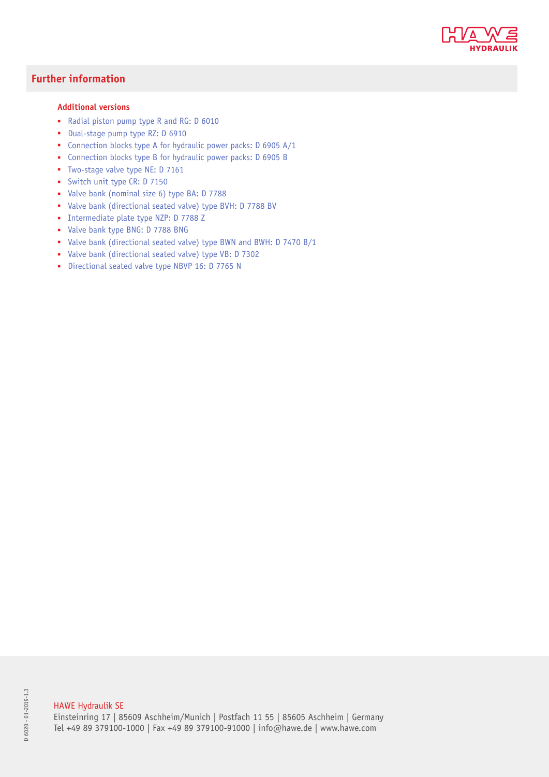

## **Further information**

#### **Additional versions**

- Radial piston pump type R and RG: [D 6010](http://downloads.hawe.com/6/0/D6010-en.pdf)
- [Dual-stage](http://downloads.hawe.com/6/9/D6910-en.pdf) pump type RZ: D 6910
- Connection blocks type A for hydraulic power packs: [D 6905 A/1](http://downloads.hawe.com/6/9/D6905A1-en.pdf)
- [Connection](http://downloads.hawe.com/6/9/D6905B-en.pdf) blocks type B for hydraulic power packs: D 6905 B
- [Two-stage](http://downloads.hawe.com/7/1/D7161-en.pdf) valve type NE: D 7161
- [Switch unit type CR: D 7150](http://downloads.hawe.com/7/1/D7150-en.pdf)
- Valve bank [\(nominal](http://downloads.hawe.com/7/7/D7788-en.pdf) size 6) type BA: D 7788
- Valve bank [\(directional](http://downloads.hawe.com/7/7/D7788BV-en.pdf) seated valve) type BVH: D 7788 BV
- [Intermediate plate type NZP: D 7788 Z](http://downloads.hawe.com/7/7/D7788Z-en.pdf)
- Valve bank type BNG: [D 7788 BNG](http://downloads.hawe.com/7/7/D7788BNG-en.pdf)
- Valve bank [\(directional](http://downloads.hawe.com/7/4/D7470B1-en.pdf) seated valve) type BWN and BWH: D 7470 B/1
- Valve bank [\(directional](http://downloads.hawe.com/7/3/D7302-en.pdf) seated valve) type VB: D 7302
- [Directional seated valve type NBVP 16: D 7765 N](http://downloads.hawe.com/7/7/D7765N-en.pdf)

#### HAWE Hydraulik SE

Einsteinring 17 | 85609 Aschheim/Munich | Postfach 11 55 | 85605 Aschheim | Germany Tel +49 89 379100-1000 | Fax +49 89 379100-91000 | info@hawe.de | www.hawe.com